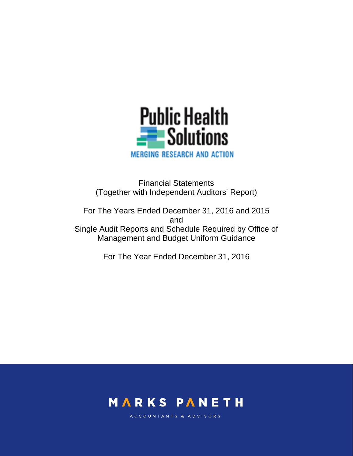

Financial Statements (Together with Independent Auditors' Report)

For The Years Ended December 31, 2016 and 2015 and Single Audit Reports and Schedule Required by Office of Management and Budget Uniform Guidance

For The Year Ended December 31, 2016



ACCOUNTANTS & ADVISORS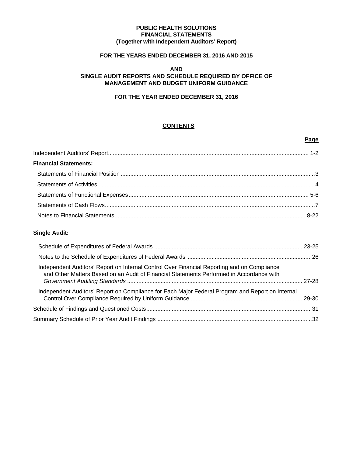#### **PUBLIC HEALTH SOLUTIONS FINANCIAL STATEMENTS (Together with Independent Auditors' Report)**

# **FOR THE YEARS ENDED DECEMBER 31, 2016 AND 2015**

#### **AND SINGLE AUDIT REPORTS AND SCHEDULE REQUIRED BY OFFICE OF MANAGEMENT AND BUDGET UNIFORM GUIDANCE**

## **FOR THE YEAR ENDED DECEMBER 31, 2016**

## **CONTENTS**

**Page** 

| <b>Financial Statements:</b> |  |
|------------------------------|--|
|                              |  |
|                              |  |
|                              |  |
|                              |  |
|                              |  |

## **Single Audit:**

| Independent Auditors' Report on Internal Control Over Financial Reporting and on Compliance<br>and Other Matters Based on an Audit of Financial Statements Performed in Accordance with |  |
|-----------------------------------------------------------------------------------------------------------------------------------------------------------------------------------------|--|
| Independent Auditors' Report on Compliance for Each Major Federal Program and Report on Internal                                                                                        |  |
|                                                                                                                                                                                         |  |
|                                                                                                                                                                                         |  |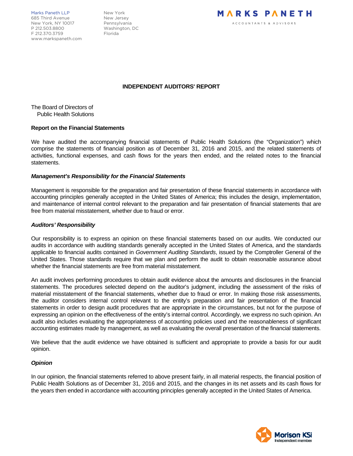Marks Paneth LLP New York 685 Third Avenue New Jersey New York, NY 10017 Pennsylvania P 212.503.8800 Washington, DC F 212.370.3759 Florida www.markspaneth.com



#### **INDEPENDENT AUDITORS' REPORT**

The Board of Directors of Public Health Solutions

#### **Report on the Financial Statements**

We have audited the accompanying financial statements of Public Health Solutions (the "Organization") which comprise the statements of financial position as of December 31, 2016 and 2015, and the related statements of activities, functional expenses, and cash flows for the years then ended, and the related notes to the financial statements.

#### *Management's Responsibility for the Financial Statements*

Management is responsible for the preparation and fair presentation of these financial statements in accordance with accounting principles generally accepted in the United States of America; this includes the design, implementation, and maintenance of internal control relevant to the preparation and fair presentation of financial statements that are free from material misstatement, whether due to fraud or error.

#### *Auditors' Responsibility*

Our responsibility is to express an opinion on these financial statements based on our audits. We conducted our audits in accordance with auditing standards generally accepted in the United States of America, and the standards applicable to financial audits contained in *Government Auditing Standards*, issued by the Comptroller General of the United States. Those standards require that we plan and perform the audit to obtain reasonable assurance about whether the financial statements are free from material misstatement.

An audit involves performing procedures to obtain audit evidence about the amounts and disclosures in the financial statements. The procedures selected depend on the auditor's judgment, including the assessment of the risks of material misstatement of the financial statements, whether due to fraud or error. In making those risk assessments, the auditor considers internal control relevant to the entity's preparation and fair presentation of the financial statements in order to design audit procedures that are appropriate in the circumstances, but not for the purpose of expressing an opinion on the effectiveness of the entity's internal control. Accordingly, we express no such opinion. An audit also includes evaluating the appropriateness of accounting policies used and the reasonableness of significant accounting estimates made by management, as well as evaluating the overall presentation of the financial statements.

We believe that the audit evidence we have obtained is sufficient and appropriate to provide a basis for our audit opinion.

#### *Opinion*

In our opinion, the financial statements referred to above present fairly, in all material respects, the financial position of Public Health Solutions as of December 31, 2016 and 2015, and the changes in its net assets and its cash flows for the years then ended in accordance with accounting principles generally accepted in the United States of America.

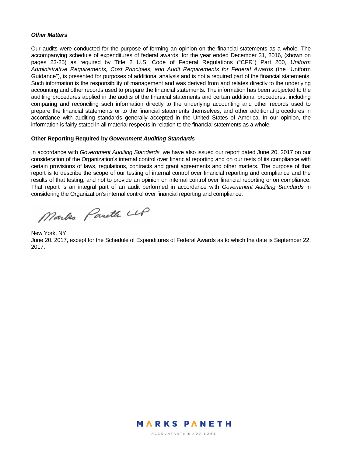#### *Other Matters*

Our audits were conducted for the purpose of forming an opinion on the financial statements as a whole. The accompanying schedule of expenditures of federal awards, for the year ended December 31, 2016, (shown on pages 23-25) as required by Title 2 U.S. Code of Federal Regulations ("CFR") Part 200, *Uniform Administrative Requirements, Cost Principles, and Audit Requirements for Federal Awards* (the "Uniform Guidance"), is presented for purposes of additional analysis and is not a required part of the financial statements. Such information is the responsibility of management and was derived from and relates directly to the underlying accounting and other records used to prepare the financial statements. The information has been subjected to the auditing procedures applied in the audits of the financial statements and certain additional procedures, including comparing and reconciling such information directly to the underlying accounting and other records used to prepare the financial statements or to the financial statements themselves, and other additional procedures in accordance with auditing standards generally accepted in the United States of America. In our opinion, the information is fairly stated in all material respects in relation to the financial statements as a whole.

#### **Other Reporting Required by** *Government Auditing Standards*

In accordance with *Government Auditing Standards,* we have also issued our report dated June 20, 2017 on our consideration of the Organization's internal control over financial reporting and on our tests of its compliance with certain provisions of laws, regulations, contracts and grant agreements and other matters. The purpose of that report is to describe the scope of our testing of internal control over financial reporting and compliance and the results of that testing, and not to provide an opinion on internal control over financial reporting or on compliance. That report is an integral part of an audit performed in accordance with *Government Auditing Standards* in considering the Organization's internal control over financial reporting and compliance.

Marks Pareth LLP

New York, NY June 20, 2017, except for the Schedule of Expenditures of Federal Awards as to which the date is September 22, 2017.



ACCOUNTANTS & ADVISORS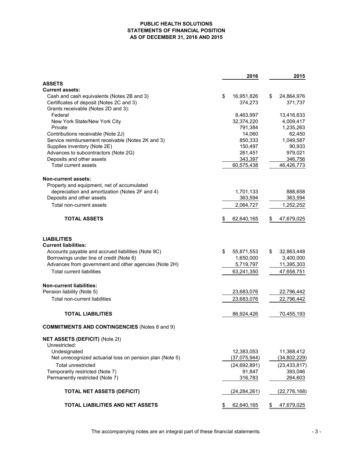#### **PUBLIC HEALTH SOLUTIONS STATEMENTS OF FINANCIAL POSITION AS OF DECEMBER 31, 2016 AND 2015**

|                                                          | 2016             | 2015             |
|----------------------------------------------------------|------------------|------------------|
| <b>ASSETS</b>                                            |                  |                  |
| <b>Current assets:</b>                                   |                  |                  |
| Cash and cash equivalents (Notes 2B and 3)               | \$<br>16,951,826 | \$<br>24,864,976 |
| Certificates of deposit (Notes 2C and 3)                 | 374,273          | 371,737          |
| Grants receivable (Notes 2D and 3):                      |                  |                  |
| Federal                                                  | 8,463,997        | 13,416,633       |
| New York State/New York City                             | 32,374,220       | 4,009,417        |
| Private                                                  | 791,384          | 1,235,263        |
| Contributions receivable (Note 2J)                       | 14,060           | 62,450           |
| Service reimbursement receivable (Notes 2K and 3)        | 850,333          | 1,049,587        |
| Supplies inventory (Note 2E)                             | 150,497          | 90,933           |
| Advances to subcontractors (Note 2G)                     | 261,451          | 979,021          |
| Deposits and other assets                                | 343,397          | 346,756          |
| Total current assets                                     | 60,575,438       | 46,426,773       |
| <b>Non-current assets:</b>                               |                  |                  |
| Property and equipment, net of accumulated               |                  |                  |
| depreciation and amortization (Notes 2F and 4)           | 1,701,133        | 888,658          |
| Deposits and other assets                                | 363,594          | 363,594          |
| Total non-current assets                                 | 2,064,727        | 1,252,252        |
| <b>TOTAL ASSETS</b>                                      | \$<br>62,640,165 | \$<br>47,679,025 |
| <b>LIABILITIES</b><br><b>Current liabilities:</b>        |                  |                  |
| Accounts payable and accrued liabilities (Note 9C)       | \$<br>55,871,553 | \$<br>32,863,448 |
| Borrowings under line of credit (Note 6)                 | 1,650,000        | 3,400,000        |
|                                                          |                  |                  |
| Advances from government and other agencies (Note 2H)    | 5,719,797        | 11,395,303       |
| <b>Total current liabilities</b>                         | 63,241,350       | 47,658,751       |
| <b>Non-current liabilities:</b>                          |                  |                  |
| Pension liability (Note 5)                               | 23,683,076       | 22,796,442       |
| <b>Total non-current liabilities</b>                     | 23,683,076       | 22,796,442       |
| <b>TOTAL LIABILITIES</b>                                 | 86,924,426       | 70,455,193       |
| <b>COMMITMENTS AND CONTINGENCIES (Notes 8 and 9)</b>     |                  |                  |
| <b>NET ASSETS (DEFICIT) (Note 2I)</b>                    |                  |                  |
| Unrestricted:                                            |                  |                  |
| Undesignated                                             | 12,383,053       | 11,368,412       |
| Net unrecognized actuarial loss on pension plan (Note 5) | (37,075,944)     | (34, 802, 229)   |
| <b>Total unrestricted</b>                                | (24, 692, 891)   | (23, 433, 817)   |
| Temporarily restricted (Note 7)                          | 91,847           | 393,046          |
| Permanently restricted (Note 7)                          | 316,783          | 264,603          |
| <b>TOTAL NET ASSETS (DEFICIT)</b>                        | (24, 284, 261)   | (22, 776, 168)   |
| TOTAL LIABILITIES AND NET ASSETS                         | \$<br>62,640,165 | \$<br>47,679,025 |

The accompanying notes are an integral part of these financial statements.  $\sim$  3 -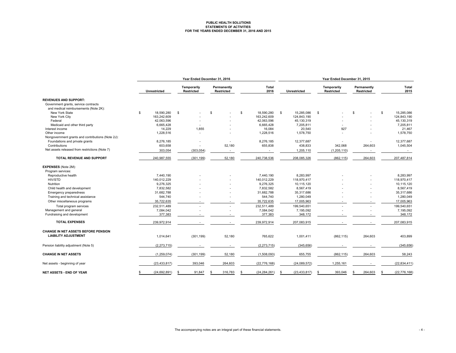#### **PUBLIC HEALTH SOLUTIONS STATEMENTS OF ACTIVITIES FOR THE YEARS ENDED DECEMBER 31, 2016 AND 2015**

|                                                   |   | Year Ended December 31, 2016 |                           |                           |                        |                      | Year Ended December 31, 2015 |                           |                       |  |
|---------------------------------------------------|---|------------------------------|---------------------------|---------------------------|------------------------|----------------------|------------------------------|---------------------------|-----------------------|--|
|                                                   |   | <b>Unrestricted</b>          | Temporarily<br>Restricted | Permanently<br>Restricted | Total<br>2016          | Unrestricted         | Temporarily<br>Restricted    | Permanently<br>Restricted | <b>Total</b><br>2015  |  |
| <b>REVENUES AND SUPPORT:</b>                      |   |                              |                           |                           |                        |                      |                              |                           |                       |  |
| Government grants, service contracts              |   |                              |                           |                           |                        |                      |                              |                           |                       |  |
| and medical reimbursements (Note 2K):             |   |                              |                           |                           |                        |                      |                              |                           |                       |  |
| New York State                                    | s | 18,590,280                   | \$                        | \$                        | 18,590,280<br><b>S</b> | s.<br>15,285,086     | \$                           | S.                        | \$<br>15,285,086      |  |
| New York City                                     |   | 163.242.609                  |                           |                           | 163,242,609            | 124,843,190          |                              |                           | 124,843,190           |  |
| Federal                                           |   | 42,063,596                   |                           |                           | 42,063,596             | 45,130,319           |                              |                           | 45,130,319            |  |
| Medicaid and other third party                    |   | 6,665,428                    |                           |                           | 6,665,428              | 7,205,811            |                              |                           | 7,205,811             |  |
| Interest income                                   |   | 14,229                       | 1,855                     |                           | 16,084                 | 20,540               | 927                          |                           | 21,467                |  |
| Other income                                      |   | 1,228,516                    |                           |                           | 1,228,516              | 1,578,750            |                              |                           | 1,578,750             |  |
| Nongovernment grants and contributions (Note 2J): |   |                              |                           |                           |                        |                      |                              |                           |                       |  |
| Foundations and private grants                    |   | 8,276,185                    |                           |                           | 8,276,185              | 12.377.687           |                              |                           | 12,377,687            |  |
| Contributions                                     |   | 603,658                      |                           | 52,180                    | 655,838                | 438,833              | 342,068                      | 264,603                   | 1,045,504             |  |
| Net assets released from restrictions (Note 7)    |   | 303,054                      | (303, 054)                |                           |                        | 1,205,110            | (1, 205, 110)                |                           |                       |  |
| TOTAL REVENUE AND SUPPORT                         |   | 240,987,555                  | (301, 199)                | 52,180                    | 240,738,536            | 208,085,326          | (862, 115)                   | 264,603                   | 207,487,814           |  |
| <b>EXPENSES</b> (Note 2M):                        |   |                              |                           |                           |                        |                      |                              |                           |                       |  |
| Program services:                                 |   |                              |                           |                           |                        |                      |                              |                           |                       |  |
| Reproductive health                               |   | 7,440,190                    |                           |                           | 7,440,190              | 8,283,997            |                              |                           | 8,283,997             |  |
| HIV/STD                                           |   | 140,012,229                  |                           |                           | 140,012,229            | 118,970,417          |                              |                           | 118,970,417           |  |
| Nutrition                                         |   | 9.276.325                    |                           |                           | 9,276,325              | 10.115.120           |                              |                           | 10,115,120            |  |
| Child health and development                      |   | 7,832,582                    |                           |                           | 7,832,582              | 8,567,419            |                              |                           | 8,567,419             |  |
| Emergency preparedness                            |   | 31,682,788                   |                           |                           | 31,682,788             | 35,317,686           |                              |                           | 35,317,686            |  |
| Training and technical assistance                 |   | 544,740                      |                           |                           | 544,740                | 1,280,049            |                              |                           | 1,280,049             |  |
| Other miscellaneous programs                      |   | 35,722,635                   |                           |                           | 35,722,635             | 17,005,963           |                              |                           | 17,005,963            |  |
| Total program services                            |   | 232,511,489                  |                           |                           | 232,511,489            | 199,540,651          |                              |                           | 199,540,651           |  |
| Management and general                            |   | 7,084,042                    |                           |                           | 7,084,042              | 7,195,092            |                              |                           | 7,195,092             |  |
| Fundraising and development                       |   | 377,383                      |                           |                           | 377,383                | 348,172              |                              |                           | 348,172               |  |
| <b>TOTAL EXPENSES</b>                             |   | 239,972,914                  |                           |                           | 239,972,914            | 207,083,915          |                              |                           | 207,083,915           |  |
| <b>CHANGE IN NET ASSETS BEFORE PENSION</b>        |   |                              |                           |                           |                        |                      |                              |                           |                       |  |
| <b>LIABILITY ADJUSTMENT</b>                       |   | 1,014,641                    | (301, 199)                | 52,180                    | 765,622                | 1,001,411            | (862, 115)                   | 264,603                   | 403,899               |  |
| Pension liability adjustment (Note 5)             |   | (2, 273, 715)                |                           |                           | (2, 273, 715)          | (345, 656)           |                              |                           | (345, 656)            |  |
| <b>CHANGE IN NET ASSETS</b>                       |   | (1,259,074)                  | (301, 199)                | 52,180                    | (1,508,093)            | 655,755              | (862, 115)                   | 264,603                   | 58,243                |  |
| Net assets - beginning of year                    |   | (23, 433, 817)               | 393,046                   | 264,603                   | (22, 776, 168)         | (24,089,572)         | 1,255,161                    | $\overline{\phantom{a}}$  | (22,834,411           |  |
| <b>NET ASSETS - END OF YEAR</b>                   |   | (24, 692, 891)               | 91,847<br>\$              | 316,783<br>S              | (24, 284, 261)         | (23, 433, 817)<br>-S | 393,046<br>\$                | 264,603<br>£.             | (22, 776, 168)<br>\$. |  |
|                                                   |   |                              |                           |                           |                        |                      |                              |                           |                       |  |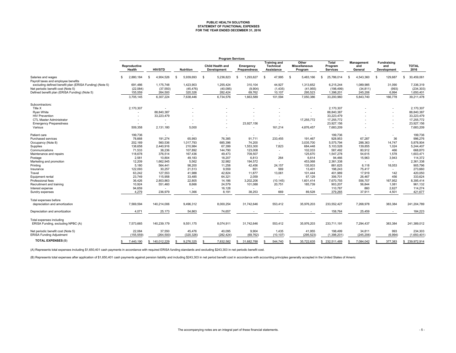# **PUBLIC HEALTH SOLUTIONS STATEMENT OF FUNCTIONAL EXPENSES FOR THE YEAR ENDED DECEMBER 31, 2016**

|                                                                                               | <b>Program Services</b> |                          |                          |                                 |                           |                                                              |                                          |                              |                              |                                                 |                            |
|-----------------------------------------------------------------------------------------------|-------------------------|--------------------------|--------------------------|---------------------------------|---------------------------|--------------------------------------------------------------|------------------------------------------|------------------------------|------------------------------|-------------------------------------------------|----------------------------|
|                                                                                               | Reproductive<br>Health  | <b>HIV/STD</b>           | <b>Nutrition</b>         | Child Health and<br>Development | Emergency<br>Preparedness | <b>Training and</b><br><b>Technical</b><br><b>Assistance</b> | Other<br><b>Miscellaneous</b><br>Program | Total<br>Program<br>Services | Management<br>and<br>General | <b>Fundraising</b><br>and<br><b>Development</b> | <b>TOTAL</b><br>2016       |
| Salaries and wages                                                                            | 2,880,184<br>S          | 4,904,526<br>-96         | S<br>5,939,693           | \$<br>5,236,823                 | 1,293,627<br>£.           | -96<br>47,995                                                | 5,483,166<br>\$                          | 25,786,014<br>s.             | 4,543,360<br>- \$            | -S<br>129,687                                   | 30,459,061<br>$\mathbf{S}$ |
| Payroll taxes and employee benefits                                                           |                         |                          |                          |                                 |                           |                                                              |                                          |                              |                              |                                                 |                            |
| excluding defined benefit plan (ERISA Funding) (Note 5)<br>Net periodic benefit cost (Note 5) | 691,486<br>(22, 084)    | 1,175,748<br>(37, 550)   | 1,423,903<br>(45, 476)   | 1,255,424<br>(40,095)           | 310,104<br>(9,904)        | 44,927<br>(1, 435)                                           | 1,313,652<br>(41, 955)                   | 6,215,244<br>(198, 499)      | 1,089,985<br>(34, 811)       | 31,090<br>(993)                                 | 7,336,319<br>(234, 303)    |
| Defined benefit plan (ERISA Funding) (Note 5)                                                 | 155,559                 | 264,500                  | 320,326                  | 282,424                         | 69,762                    | 10,107                                                       | 295,523                                  | 1,398,201                    | 245,206                      | 6,994                                           | 1,650,401                  |
|                                                                                               | 3,705,145               | 6,307,224                | 7,638,446                | 6,734,576                       | 1,663,589                 | 101,594                                                      | 7,050,386                                | 33,200,960                   | 5,843,740                    | 166,778                                         | 39,211,478                 |
| Subcontractors:                                                                               |                         |                          |                          |                                 |                           |                                                              |                                          |                              |                              |                                                 |                            |
| Title X                                                                                       | 2,170,307               | $\overline{\phantom{a}}$ |                          |                                 |                           |                                                              |                                          | 2,170,307                    |                              |                                                 | 2,170,307                  |
| Ryan White                                                                                    |                         | 88,840,387               |                          |                                 |                           |                                                              |                                          | 88,840,387                   |                              |                                                 | 88,840,387                 |
| <b>HIV Prevention</b>                                                                         |                         | 33,223,479               |                          |                                 |                           |                                                              |                                          | 33,223,479                   |                              |                                                 | 33,223,479                 |
| CTL Master Administrator                                                                      |                         |                          |                          |                                 |                           |                                                              | 17,255,772                               | 17,255,772                   |                              | $\overline{\phantom{a}}$                        | 17,255,772                 |
| <b>Emergency Preparedness</b>                                                                 |                         |                          |                          |                                 | 23,927,156                |                                                              |                                          | 23,927,156                   |                              |                                                 | 23,927,156                 |
| Various                                                                                       | 509,358                 | 2,131,180                | 5,000                    |                                 | $\sim$                    | 161,214                                                      | 4,876,457                                | 7,683,209                    |                              | $\overline{\phantom{a}}$                        | 7,683,209                  |
| Patient care                                                                                  | 199,736                 | $\overline{\phantom{a}}$ | $\overline{\phantom{a}}$ | $\sim$                          | $\sim$                    | $\sim$                                                       | $\sim$                                   | 199,736                      |                              | $\overline{\phantom{a}}$                        | 199,736                    |
| Purchased services                                                                            | 78,668                  | 191,274                  | 65.993                   | 76.385                          | 91.711                    | 233,455                                                      | 191.467                                  | 928,953                      | 67,287                       | 36                                              | 996,276                    |
| Occupancy (Note 8)                                                                            | 202,169                 | 560,536                  | 1,017,793                | 685,396                         | 74,200                    | $\sim$                                                       | 3,035,700                                | 5,575,794                    | 288,363                      | 14,747                                          | 5,878,904                  |
| Supplies                                                                                      | 138,658                 | 2,440,916                | 210,984                  | 67,399                          | 1,553,300                 | 7,823                                                        | 684,448                                  | 5,103,528                    | 139,855                      | 1,024                                           | 5,244,407                  |
| Communications                                                                                | 71.533                  | 38,236                   | 107.892                  | 144,790                         | 123.008                   |                                                              | 102.033                                  | 587.492                      | 80,912                       | 466                                             | 668,870                    |
| Maintenance and repairs                                                                       | 118,678                 | 376,514                  | 167,436                  | 49,473                          | 709,507                   | $\sim$                                                       | 125,670                                  | 1,547,278                    | 54,615                       | 1,578                                           | 1,603,471                  |
| Postage                                                                                       | 2,581                   | 10,804                   | 49,183                   | 18,207                          | 6,813                     | 264                                                          | 6,614                                    | 94,466                       | 15,963                       | 3,943                                           | 114,372                    |
| Marketing and promotion                                                                       | 12,209                  | 1,662,945                | 5,562                    | 32,982                          | 194,572                   |                                                              | 453,068                                  | 2,361,338                    | $\sim$                       |                                                 | 2,361,338                  |
| Printing                                                                                      | 5,180                   | 564,441                  | 98,200                   | 11,258                          | 42,456                    | 24,157                                                       | 135,933                                  | 881.625                      | 6,118                        | 18,053                                          | 905,796                    |
| Insurance                                                                                     | 122,093                 | 30,257                   | 21,513                   | 9,559                           | 851                       | 569                                                          | 13,401                                   | 198,243                      | 75,417                       |                                                 | 273,660                    |
| Travel                                                                                        | 63,242                  | 127,553                  | 41,988                   | 42,824                          | 11,877                    | 13,061                                                       | 101,444                                  | 401,989                      | 17,919                       | 142                                             | 420,050                    |
| Equipment rental                                                                              | 23,749                  | 115,958                  | 33,485                   | 64,321                          | 2,059                     |                                                              | 67,129                                   | 306,701                      | 26,467                       | 456                                             | 333,624                    |
| Professional fees                                                                             | 36,426                  | 2,803,863                | 22,805                   | 14,186                          | 3,202,206                 | (10, 145)                                                    | 1,601,414                                | 7,670,755                    | 556,707                      | 167,952                                         | 8,395,414                  |
| Recruitment and training                                                                      | 10,924                  | 551,460                  | 8,666                    | 24,579                          | 101,088                   | 20,751                                                       | 185,739                                  | 903,207                      | 56,844                       | 1,081                                           | 961,132                    |
| Interest expense                                                                              | 94,659                  |                          |                          | 16,128                          |                           |                                                              |                                          | 110,787                      | 860                          | 2,627                                           | 114,274                    |
| Sundry expenses                                                                               | 4,279                   | 236,979                  | 1,366                    | 8,191                           | 38,253                    | 669                                                          | 89,528                                   | 379,265                      | 37,911                       | 4,501                                           | 421,677                    |
|                                                                                               |                         |                          |                          |                                 |                           |                                                              |                                          |                              |                              |                                                 |                            |
| Total expenses before<br>depreciation and amortization                                        | 7,569,594               | 140,214,006              | 9,496,312                | 8,000,254                       | 31,742,646                | 553,412                                                      | 35,976,203                               | 233,552,427                  | 7,268,978                    | 383,384                                         | 241,204,789                |
|                                                                                               |                         |                          |                          |                                 |                           |                                                              |                                          |                              |                              |                                                 | 184,223                    |
| Depreciation and amortization                                                                 | 4,071                   | 25,173                   | 54,863                   | 74,657                          |                           |                                                              |                                          | 158,764                      | 25,459                       |                                                 |                            |
| Total expenses including                                                                      |                         |                          |                          |                                 |                           |                                                              |                                          |                              |                              |                                                 |                            |
| ERISA Funding, excluding NPBC (A)                                                             | 7,573,665               | 140,239,179              | 9,551,175                | 8,074,911                       | 31,742,646                | 553,412                                                      | 35,976,203                               | 233,711,191                  | 7,294,437                    | 383,384                                         | 241,389,012                |
| Net periodic benefit cost (Note 5)                                                            | 22,084                  | 37,550                   | 45,476                   | 40,095                          | 9,904                     | 1,435                                                        | 41,955                                   | 198,499                      | 34,811                       | 993                                             | 234,303                    |
| <b>ERISA Funding Adjustment</b>                                                               | (155, 559)              | (264, 500)               | (320, 326)               | (282, 424)                      | (69, 762)                 | (10, 107)                                                    | (295, 523)                               | (1,398,201)                  | (245, 206)                   | (6,994)                                         | (1,650,401)                |
| <b>TOTAL EXPENSES (B)</b>                                                                     | 7.440.190<br>S          | \$140.012.229            | 9,276,325<br>\$.         | 7.832.582<br>-96                | 31,682,788<br>\$.         | 544.740<br>S                                                 | 35.722.635                               | 232,511,489<br>S.            | 7.084.042<br>\$              | 377,383<br>£.                                   | 239,972,914<br>\$.         |

(A) Represents total expenses including \$1,650,401 cash payments in accordance with required ERISA funding standards and excluding \$243,303 in net periodic benefit cost.

(B) Represents total expenses after application of \$1,650,401 cash payments against pension liability and including \$243,303 in net period benefit cost in accordance with accounting principles generally accepted in the Uni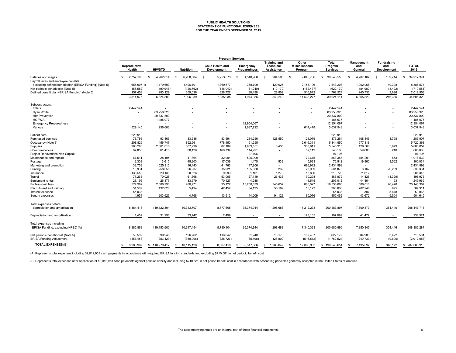# **PUBLIC HEALTH SOLUTIONS STATEMENT OF FUNCTIONAL EXPENSES FOR THE YEAR ENDED DECEMBER 31, 2015**

|                                                         | <b>Program Services</b> |                          |                  |                                        |                           |                                                       |                                          |                                     |                                     |                                          |                            |
|---------------------------------------------------------|-------------------------|--------------------------|------------------|----------------------------------------|---------------------------|-------------------------------------------------------|------------------------------------------|-------------------------------------|-------------------------------------|------------------------------------------|----------------------------|
|                                                         | Reproductive<br>Health  | <b>HIV/STD</b>           | <b>Nutrition</b> | <b>Child Health and</b><br>Development | Emergency<br>Preparedness | <b>Training and</b><br><b>Technical</b><br>Assistance | Other<br><b>Miscellaneous</b><br>Program | Total<br>Program<br><b>Services</b> | <b>Management</b><br>and<br>General | Fundraising<br>and<br><b>Development</b> | <b>TOTAL</b><br>2015       |
| Salaries and wages                                      | 2,757,108<br>S          | 4.962.014<br>- \$        | -S<br>6.268.504  | - \$<br>5.753.673                      | 1,548,968<br><b>S</b>     | 204.585<br>-96                                        | 9.045.706<br>- \$                        | 30.540.558<br>s.                    | 4.207.102<br>$\mathfrak{s}$         | -S<br>169.714                            | 34.917.374<br>$\mathbf{S}$ |
| Payroll taxes and employee benefits                     |                         |                          |                  |                                        |                           |                                                       |                                          |                                     |                                     |                                          |                            |
| excluding defined benefit plan (ERISA Funding) (Note 5) | 655,997 #               | 1,179,603                | 1,496,101        | 1,369,577                              | 368,709                   | 120,025                                               | 2,153,196                                | 7,343,208                           | 1,002,968                           | 40,398                                   | 8,386,574                  |
| Net periodic benefit cost (Note 5)                      | (55, 582)               | (99, 946)                | (126, 762)       | (116, 042)                             | (31, 240)                 | (10, 170)                                             | (182, 437)                               | (622, 179)                          | (84,980)                            | (3, 422)                                 | (710, 581)                 |
| Defined benefit plan (ERISA Funding) (Note 5)           | 157,453                 | 283,129                  | 359,096          | 328,727                                | 88,498                    | 28,809                                                | 516,812                                  | 1,762,524                           | 240,733                             | 9,696                                    | 2,012,953                  |
|                                                         | 3,514,976               | 6,324,800                | 7,996,939        | 7,335,935                              | 1,974,935                 | 343,249                                               | 11,533,277                               | 39,024,111                          | 5,365,823                           | 216,386                                  | 44,606,320                 |
| Subcontractors:                                         |                         |                          |                  |                                        |                           |                                                       |                                          |                                     |                                     |                                          |                            |
| Title X                                                 | 2,442,541               |                          |                  |                                        |                           |                                                       |                                          | 2,442,541                           |                                     |                                          | 2,442,541                  |
| Ryan White                                              |                         | 83,258,320               |                  |                                        |                           |                                                       |                                          | 83,258,320                          |                                     |                                          | 83,258,320                 |
| <b>HIV Prevention</b>                                   |                         | 20,337,800               |                  |                                        |                           |                                                       |                                          | 20,337,800                          |                                     |                                          | 20,337,800                 |
| <b>HOPWA</b>                                            |                         | 1,485,977                |                  |                                        |                           |                                                       |                                          | 1,485,977                           |                                     |                                          | 1,485,977                  |
| <b>Emergency Preparedness</b>                           |                         | $\overline{\phantom{a}}$ |                  |                                        | 12,954,067                |                                                       | $\sim$                                   | 12,954,067                          |                                     |                                          | 12,954,067                 |
| Various                                                 | 529,145                 | 256,603                  |                  |                                        | 1,637,722                 |                                                       | 614,478                                  | 3,037,948                           |                                     |                                          | 3,037,948                  |
| Patient care                                            | 220,910                 | ÷                        |                  |                                        |                           | $\sim$                                                | $\sim$                                   | 220,910                             |                                     |                                          | 220,910                    |
| Purchased services                                      | 78,786                  | 93,466                   | 83,536           | 83,591                                 | 284,256                   | 428,550                                               | 121.079                                  | 1,173,264                           | 108,845                             | 1,798                                    | 1,283,907                  |
| Occupancy (Note 8)                                      | 208,826                 | 456,747                  | 892,961          | 778,450                                | 161,255                   | $\sim$                                                | 2,646,311                                | 5,144,550                           | 577,818                             |                                          | 5,722,368                  |
| Supplies                                                | 268,296                 | 2,561,015                | 307,998          | 87,109                                 | 1,989,551                 | 3,435                                                 | 330,911                                  | 5,548,315                           | 129,563                             | 5,979                                    | 5,683,857                  |
| Communications                                          | 67,850                  | 61,416                   | 88,120           | 160,734                                | 114,921                   |                                                       | 52,119                                   | 545,160                             | 59,680                              | 240                                      | 605,080                    |
| Project Renovations/Non-Capital                         |                         | $\overline{\phantom{a}}$ |                  |                                        | 97,106                    |                                                       | $\sim$                                   | 97,106                              | $\sim$                              |                                          | 97,106                     |
| Maintenance and repairs                                 | 67,511                  | 28,495                   | 147,864          | 32,994                                 | 506,909                   |                                                       | 79,615                                   | 863,388                             | 154,291                             | 853                                      | 1,018,532                  |
| Postage                                                 | 2,308                   | 3,615                    | 45,903           | 17,039                                 | 1,475                     | 539                                                   | 5,633                                    | 76,512                              | 19,960                              | 3,562                                    | 100,034                    |
| Marketing and promotion                                 | 33,759                  | 1,525,315                | 16,443           | 41,763                                 | 117,806                   | $\sim$                                                | 696,912                                  | 2,431,998                           | $\sim$                              |                                          | 2,431,998                  |
| Printing                                                | 10.931                  | 258,055                  | 26,937           | 15,921                                 | 165,830                   | 262                                                   | 23.939                                   | 501.875                             | 8.167                               | 20,289                                   | 530,331                    |
| Insurance                                               | 136,558                 | 29,130                   | 20,626           | 9.090                                  | 1,161                     | 1,273                                                 | 15,890                                   | 213,728                             | 71,617                              |                                          | 285,345                    |
| Travel                                                  | 77,265                  | 70,028                   | 161,668          | 53,065                                 | 27,119                    | 26,436                                                | 70,298                                   | 485,879                             | 14,425                              | (1,329)                                  | 498,975                    |
| Equipment rental                                        | 28,196                  | 26,877                   | 33,679           | 70,427                                 | 4,288                     | $\sim$                                                | 41,545                                   | 205,012                             | 44,864                              | 93                                       | 249,969                    |
| Professional fees                                       | 574,982                 | 2,008,993                | 480,771          | 35,122                                 | 15,208,339                | 345,632                                               | 885,027                                  | 19,538,866                          | 508,013                             | 96,428                                   | 20,143,307                 |
| Recruitment and training                                | 51,589                  | 132,026                  | 5,494            | 42,452                                 | 84,195                    | 55,189                                                | 15,123                                   | 386,068                             | 202,248                             | 995                                      | 589,311                    |
| Interest expense                                        | 55,033                  |                          |                  |                                        |                           |                                                       | $\sim$                                   | 55,033                              | 387                                 | 3,648                                    | 59,068                     |
| Sundry expenses                                         | 14,954                  | 203,626                  | 4,768            | 13,913                                 | 44,009                    | 94,123                                                | 80,076                                   | 455,469                             | 43,672                              | 5,504                                    | 504,645                    |
| Total expenses before                                   |                         |                          |                  |                                        |                           |                                                       |                                          |                                     |                                     |                                          |                            |
| depreciation and amortization                           | 8,384,416               | 119,122,304              | 10,313,707       | 8,777,605                              | 35,374,944                | 1,298,688                                             | 17,212,233                               | 200,483,897                         | 7,309,373                           | 354,446                                  | 208, 147, 716              |
|                                                         |                         |                          |                  |                                        |                           |                                                       |                                          |                                     |                                     |                                          |                            |
| Depreciation and amortization                           | 1,452                   | 31,296                   | 33,747           | 2,499                                  |                           |                                                       | 128,105                                  | 197,099                             | 41,472                              |                                          | 238,571                    |
| Total expenses including                                |                         |                          |                  |                                        |                           |                                                       |                                          |                                     |                                     |                                          |                            |
| ERISA Funding, excluding NPBC (A)                       | 8,385,868               | 119,153,600              | 10,347,454       | 8,780,104                              | 35,374,944                | 1,298,688                                             | 17,340,338                               | 200,680,996                         | 7,350,845                           | 354,446                                  | 208,386,287                |
| Net periodic benefit cost (Note 5)                      | 55,582                  | 99,946                   | 126,762          | 116,042                                | 31,240                    | 10,170                                                | 182,437                                  | 622,179                             | 84,980                              | 3,422                                    | 710,581                    |
| ERISA Funding Adjustment                                | (157, 453)              | (283, 129)               | (359, 096)       | (328, 727)                             | (88, 498)                 | (28, 809)                                             | (516, 812)                               | (1,762,524)                         | (240, 733)                          | (9,696)                                  | (2,012,953)                |
| <b>TOTAL EXPENSES (B)</b>                               | 8,283,997<br>S          | \$118,970,417            | 10,115,120<br>S  | 8,567,419                              | 35,317,686<br>\$.         | 1.280.049<br>\$.                                      | 17,005,963                               | 199.540.651<br>S.                   | 7,195,092<br>S                      | 348.172                                  | 207,083,915<br>-S          |

(A) Represents total expenses including \$2,012,953 cash payments in accordance with required ERISA funding standards and excluding \$710,581 in net periodic benefit cost.

(B) Represents total expenses after application of \$2,012,953 cash payments against pension liability and including \$710,581 in net period benefit cost in accordance with accounting principles generally accepted in the Uni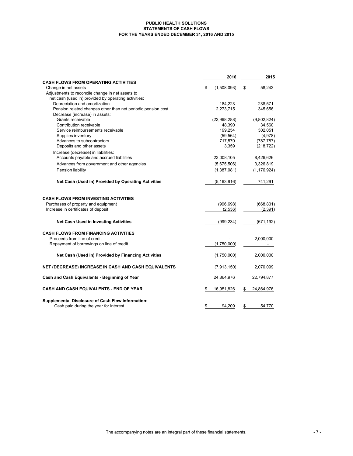#### **PUBLIC HEALTH SOLUTIONS STATEMENTS OF CASH FLOWS FOR THE YEARS ENDED DECEMBER 31, 2016 AND 2015**

|                                                                                                | 2016              | 2015             |
|------------------------------------------------------------------------------------------------|-------------------|------------------|
| <b>CASH FLOWS FROM OPERATING ACTIVITIES</b>                                                    |                   |                  |
| Change in net assets                                                                           | \$<br>(1,508,093) | \$<br>58,243     |
| Adjustments to reconcile change in net assets to                                               |                   |                  |
| net cash (used in) provided by operating activities:                                           |                   |                  |
| Depreciation and amortization                                                                  | 184,223           | 238,571          |
| Pension related changes other than net periodic pension cost<br>Decrease (increase) in assets: | 2,273,715         | 345,656          |
| Grants receivable                                                                              | (22,968,288)      | (9,802,824)      |
| Contribution receivable                                                                        | 48,390            | 34,560           |
| Service reimbursements receivable                                                              | 199,254           | 302,051          |
| Supplies inventory                                                                             | (59, 564)         | (4,978)          |
| Advances to subcontractors                                                                     | 717,570           | (787, 787)       |
| Deposits and other assets                                                                      | 3,359             | (218, 722)       |
| Increase (decrease) in liabilities:                                                            |                   |                  |
| Accounts payable and accrued liabilities                                                       | 23,008,105        | 8,426,626        |
| Advances from government and other agencies                                                    | (5,675,506)       | 3,326,819        |
| Pension liability                                                                              | (1,387,081)       | (1, 176, 924)    |
| Net Cash (Used in) Provided by Operating Activities                                            | (5, 163, 916)     | 741,291          |
| <b>CASH FLOWS FROM INVESTING ACTIVITIES</b>                                                    |                   |                  |
| Purchases of property and equipment                                                            | (996, 698)        | (668, 801)       |
| Increase in certificates of deposit                                                            | (2,536)           | (2, 391)         |
| <b>Net Cash Used in Investing Activities</b>                                                   | (999, 234)        | (671,192)        |
| <b>CASH FLOWS FROM FINANCING ACTIVITIES</b>                                                    |                   |                  |
| Proceeds from line of credit                                                                   |                   | 2,000,000        |
| Repayment of borrowings on line of credit                                                      | (1,750,000)       |                  |
| Net Cash (Used in) Provided by Financing Activities                                            | (1,750,000)       | 2,000,000        |
| NET (DECREASE) INCREASE IN CASH AND CASH EQUIVALENTS                                           | (7,913,150)       | 2,070,099        |
| Cash and Cash Equivalents - Beginning of Year                                                  | 24,864,976        | 22,794,877       |
| <b>CASH AND CASH EQUIVALENTS - END OF YEAR</b>                                                 | \$<br>16,951,826  | \$<br>24,864,976 |
| Supplemental Disclosure of Cash Flow Information:                                              |                   |                  |
| Cash paid during the year for interest                                                         | \$<br>94,209      | \$<br>54,770     |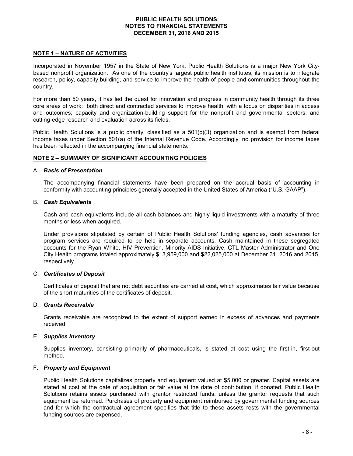## **NOTE 1 – NATURE OF ACTIVITIES**

Incorporated in November 1957 in the State of New York, Public Health Solutions is a major New York Citybased nonprofit organization. As one of the country's largest public health institutes, its mission is to integrate research, policy, capacity building, and service to improve the health of people and communities throughout the country.

For more than 50 years, it has led the quest for innovation and progress in community health through its three core areas of work: both direct and contracted services to improve health, with a focus on disparities in access and outcomes; capacity and organization-building support for the nonprofit and governmental sectors; and cutting-edge research and evaluation across its fields.

Public Health Solutions is a public charity, classified as a 501(c)(3) organization and is exempt from federal income taxes under Section 501(a) of the Internal Revenue Code. Accordingly, no provision for income taxes has been reflected in the accompanying financial statements.

## **NOTE 2 – SUMMARY OF SIGNIFICANT ACCOUNTING POLICIES**

#### A. *Basis of Presentation*

The accompanying financial statements have been prepared on the accrual basis of accounting in conformity with accounting principles generally accepted in the United States of America ("U.S. GAAP").

#### B. *Cash Equivalents*

Cash and cash equivalents include all cash balances and highly liquid investments with a maturity of three months or less when acquired.

Under provisions stipulated by certain of Public Health Solutions' funding agencies, cash advances for program services are required to be held in separate accounts. Cash maintained in these segregated accounts for the Ryan White, HIV Prevention, Minority AIDS Initiative, CTL Master Administrator and One City Health programs totaled approximately \$13,959,000 and \$22,025,000 at December 31, 2016 and 2015, respectively.

## C. *Certificates of Deposit*

Certificates of deposit that are not debt securities are carried at cost, which approximates fair value because of the short maturities of the certificates of deposit.

#### D. *Grants Receivable*

Grants receivable are recognized to the extent of support earned in excess of advances and payments received.

## E. *Supplies Inventory*

Supplies inventory, consisting primarily of pharmaceuticals, is stated at cost using the first-in, first-out method.

#### F. *Property and Equipment*

Public Health Solutions capitalizes property and equipment valued at \$5,000 or greater. Capital assets are stated at cost at the date of acquisition or fair value at the date of contribution, if donated. Public Health Solutions retains assets purchased with grantor restricted funds, unless the grantor requests that such equipment be returned. Purchases of property and equipment reimbursed by governmental funding sources and for which the contractual agreement specifies that title to these assets rests with the governmental funding sources are expensed.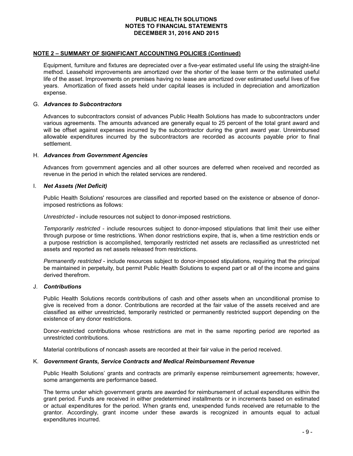#### **NOTE 2 – SUMMARY OF SIGNIFICANT ACCOUNTING POLICIES (Continued)**

Equipment, furniture and fixtures are depreciated over a five-year estimated useful life using the straight-line method. Leasehold improvements are amortized over the shorter of the lease term or the estimated useful life of the asset. Improvements on premises having no lease are amortized over estimated useful lives of five years. Amortization of fixed assets held under capital leases is included in depreciation and amortization expense.

#### G. *Advances to Subcontractors*

Advances to subcontractors consist of advances Public Health Solutions has made to subcontractors under various agreements. The amounts advanced are generally equal to 25 percent of the total grant award and will be offset against expenses incurred by the subcontractor during the grant award year. Unreimbursed allowable expenditures incurred by the subcontractors are recorded as accounts payable prior to final settlement.

#### H. *Advances from Government Agencies*

Advances from government agencies and all other sources are deferred when received and recorded as revenue in the period in which the related services are rendered.

#### I. *Net Assets (Net Deficit)*

Public Health Solutions' resources are classified and reported based on the existence or absence of donorimposed restrictions as follows:

*Unrestricted* - include resources not subject to donor-imposed restrictions.

*Temporarily restricted* - include resources subject to donor-imposed stipulations that limit their use either through purpose or time restrictions. When donor restrictions expire, that is, when a time restriction ends or a purpose restriction is accomplished, temporarily restricted net assets are reclassified as unrestricted net assets and reported as net assets released from restrictions.

*Permanently restricted* - include resources subject to donor-imposed stipulations, requiring that the principal be maintained in perpetuity, but permit Public Health Solutions to expend part or all of the income and gains derived therefrom.

### J. *Contributions*

Public Health Solutions records contributions of cash and other assets when an unconditional promise to give is received from a donor. Contributions are recorded at the fair value of the assets received and are classified as either unrestricted, temporarily restricted or permanently restricted support depending on the existence of any donor restrictions.

Donor-restricted contributions whose restrictions are met in the same reporting period are reported as unrestricted contributions.

Material contributions of noncash assets are recorded at their fair value in the period received.

#### K. *Government Grants, Service Contracts and Medical Reimbursement Revenue*

Public Health Solutions' grants and contracts are primarily expense reimbursement agreements; however, some arrangements are performance based.

The terms under which government grants are awarded for reimbursement of actual expenditures within the grant period. Funds are received in either predetermined installments or in increments based on estimated or actual expenditures for the period. When grants end, unexpended funds received are returnable to the grantor. Accordingly, grant income under these awards is recognized in amounts equal to actual expenditures incurred.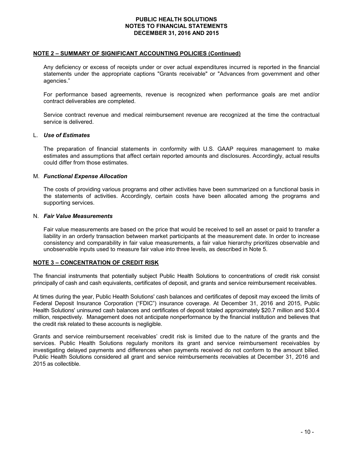#### **NOTE 2 – SUMMARY OF SIGNIFICANT ACCOUNTING POLICIES (Continued)**

Any deficiency or excess of receipts under or over actual expenditures incurred is reported in the financial statements under the appropriate captions "Grants receivable" or "Advances from government and other agencies."

For performance based agreements, revenue is recognized when performance goals are met and/or contract deliverables are completed.

Service contract revenue and medical reimbursement revenue are recognized at the time the contractual service is delivered.

#### L. *Use of Estimates*

The preparation of financial statements in conformity with U.S. GAAP requires management to make estimates and assumptions that affect certain reported amounts and disclosures. Accordingly, actual results could differ from those estimates.

#### M. *Functional Expense Allocation*

The costs of providing various programs and other activities have been summarized on a functional basis in the statements of activities. Accordingly, certain costs have been allocated among the programs and supporting services.

#### N. *Fair Value Measurements*

Fair value measurements are based on the price that would be received to sell an asset or paid to transfer a liability in an orderly transaction between market participants at the measurement date. In order to increase consistency and comparability in fair value measurements, a fair value hierarchy prioritizes observable and unobservable inputs used to measure fair value into three levels, as described in Note 5.

## **NOTE 3 – CONCENTRATION OF CREDIT RISK**

The financial instruments that potentially subject Public Health Solutions to concentrations of credit risk consist principally of cash and cash equivalents, certificates of deposit, and grants and service reimbursement receivables.

At times during the year, Public Health Solutions' cash balances and certificates of deposit may exceed the limits of Federal Deposit Insurance Corporation ("FDIC") insurance coverage. At December 31, 2016 and 2015, Public Health Solutions' uninsured cash balances and certificates of deposit totaled approximately \$20.7 million and \$30.4 million, respectively. Management does not anticipate nonperformance by the financial institution and believes that the credit risk related to these accounts is negligible.

Grants and service reimbursement receivables' credit risk is limited due to the nature of the grants and the services. Public Health Solutions regularly monitors its grant and service reimbursement receivables by investigating delayed payments and differences when payments received do not conform to the amount billed. Public Health Solutions considered all grant and service reimbursements receivables at December 31, 2016 and 2015 as collectible.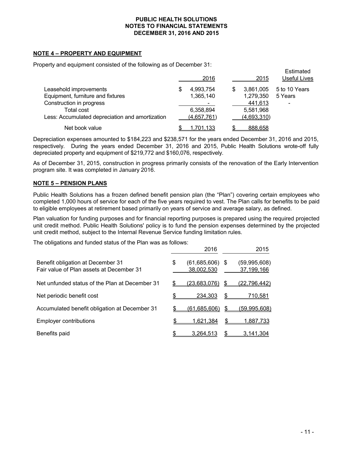#### **NOTE 4 – PROPERTY AND EQUIPMENT**

Property and equipment consisted of the following as of December 31:

|                                                 | 2016           | 2015            | Estimated<br><b>Useful Lives</b> |
|-------------------------------------------------|----------------|-----------------|----------------------------------|
| Leasehold improvements                          | 4,993,754<br>S | 3,861,005<br>\$ | 5 to 10 Years                    |
| Equipment, furniture and fixtures               | 1,365,140      | 1,279,350       | 5 Years                          |
| Construction in progress                        |                | 441,613         | $\overline{\phantom{a}}$         |
| Total cost                                      | 6,358,894      | 5,581,968       |                                  |
| Less: Accumulated depreciation and amortization | (4,657,761)    | (4,693,310)     |                                  |
| Net book value                                  | 1,701,133      | 888,658         |                                  |

Depreciation expenses amounted to \$184,223 and \$238,571 for the years ended December 31, 2016 and 2015, respectively. During the years ended December 31, 2016 and 2015, Public Health Solutions wrote-off fully depreciated property and equipment of \$219,772 and \$160,076, respectively.

As of December 31, 2015, construction in progress primarily consists of the renovation of the Early Intervention program site. It was completed in January 2016.

#### **NOTE 5 – PENSION PLANS**

Public Health Solutions has a frozen defined benefit pension plan (the "Plan") covering certain employees who completed 1,000 hours of service for each of the five years required to vest. The Plan calls for benefits to be paid to eligible employees at retirement based primarily on years of service and average salary, as defined.

Plan valuation for funding purposes and for financial reporting purposes is prepared using the required projected unit credit method. Public Health Solutions' policy is to fund the pension expenses determined by the projected unit credit method, subject to the Internal Revenue Service funding limitation rules.

The obligations and funded status of the Plan was as follows:

|                                                                               |    | 2016                            |    | 2015                       |
|-------------------------------------------------------------------------------|----|---------------------------------|----|----------------------------|
| Benefit obligation at December 31<br>Fair value of Plan assets at December 31 | \$ | $(61,685,606)$ \$<br>38,002,530 |    | (59,995,608)<br>37,199,166 |
| Net unfunded status of the Plan at December 31                                |    | <u>(23,683,076)</u>             | \$ | (22, 796, 442)             |
| Net periodic benefit cost                                                     |    | 234,303                         | \$ | <u>710,581</u>             |
| Accumulated benefit obligation at December 31                                 |    | <u>(61,685,606)</u>             | S  | <u>(59,995,608)</u>        |
| <b>Employer contributions</b>                                                 | S  | 1.621.384                       |    | <u>1,887,733</u>           |
| Benefits paid                                                                 |    | <u>3,264,513</u>                | \$ | <u>3,141,304</u>           |

Estimated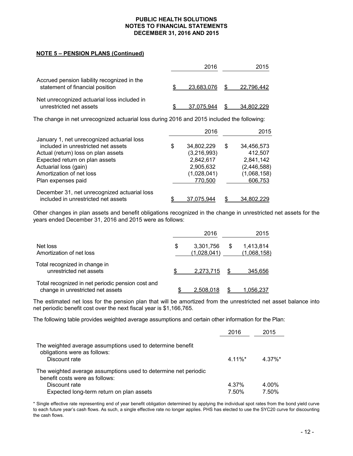## **NOTE 5 – PENSION PLANS (Continued)**

|                                                                                | 2016       | 2015       |
|--------------------------------------------------------------------------------|------------|------------|
| Accrued pension liability recognized in the<br>statement of financial position | 23.683.076 | 22.796.442 |
| Net unrecognized actuarial loss included in<br>unrestricted net assets         | 37.075.944 | 34.802.229 |

The change in net unrecognized actuarial loss during 2016 and 2015 included the following:

|                                              | 2016             |   | 2015        |
|----------------------------------------------|------------------|---|-------------|
| January 1, net unrecognized actuarial loss   |                  |   |             |
| included in unrestricted net assets          | \$<br>34.802.229 | S | 34,456,573  |
| Actual (return) loss on plan assets          | (3,216,993)      |   | 412,507     |
| Expected return on plan assets               | 2,842,617        |   | 2,841,142   |
| Actuarial loss (gain)                        | 2,905,632        |   | (2,446,588) |
| Amortization of net loss                     | (1,028,041)      |   | (1,068,158) |
| Plan expenses paid                           | 770,500          |   | 606,753     |
| December 31, net unrecognized actuarial loss |                  |   |             |
| included in unrestricted net assets          | 37.075.944       |   | 34.802.229  |

Other changes in plan assets and benefit obligations recognized in the change in unrestricted net assets for the years ended December 31, 2016 and 2015 were as follows:

|                                                                                        | 2016                           |    | 2015                     |
|----------------------------------------------------------------------------------------|--------------------------------|----|--------------------------|
| Net loss<br>Amortization of net loss                                                   | \$<br>3,301,756<br>(1,028,041) | S. | 1,413,814<br>(1,068,158) |
| Total recognized in change in<br>unrestricted net assets                               | 2.273.715                      |    | 345.656                  |
| Total recognized in net periodic pension cost and<br>change in unrestricted net assets | 2.508.018                      |    | 1.056.237                |

The estimated net loss for the pension plan that will be amortized from the unrestricted net asset balance into net periodic benefit cost over the next fiscal year is \$1,166,765.

The following table provides weighted average assumptions and certain other information for the Plan:

|                                                                                                   | 2016       | 2015   |
|---------------------------------------------------------------------------------------------------|------------|--------|
| The weighted average assumptions used to determine benefit<br>obligations were as follows:        |            |        |
| Discount rate                                                                                     | $4.11\%$ * | 4.37%* |
| The weighted average assumptions used to determine net periodic<br>benefit costs were as follows: |            |        |
| Discount rate                                                                                     | 4.37%      | 4.00%  |
| Expected long-term return on plan assets                                                          | 7.50%      | 7.50%  |

\* Single effective rate representing end of year benefit obligation determined by applying the individual spot rates from the bond yield curve to each future year's cash flows. As such, a single effective rate no longer applies. PHS has elected to use the SYC20 curve for discounting the cash flows.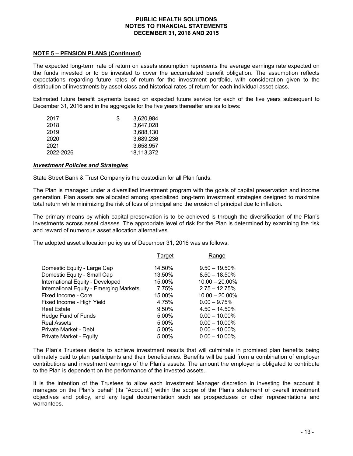#### **NOTE 5 – PENSION PLANS (Continued)**

The expected long-term rate of return on assets assumption represents the average earnings rate expected on the funds invested or to be invested to cover the accumulated benefit obligation. The assumption reflects expectations regarding future rates of return for the investment portfolio, with consideration given to the distribution of investments by asset class and historical rates of return for each individual asset class.

Estimated future benefit payments based on expected future service for each of the five years subsequent to December 31, 2016 and in the aggregate for the five years thereafter are as follows:

| 2017      | 3.620.984<br>S |  |
|-----------|----------------|--|
| 2018      | 3,647,028      |  |
| 2019      | 3,688,130      |  |
| 2020      | 3.689.236      |  |
| 2021      | 3.658.957      |  |
| 2022-2026 | 18,113,372     |  |

#### *Investment Policies and Strategies*

State Street Bank & Trust Company is the custodian for all Plan funds.

The Plan is managed under a diversified investment program with the goals of capital preservation and income generation. Plan assets are allocated among specialized long-term investment strategies designed to maximize total return while minimizing the risk of loss of principal and the erosion of principal due to inflation.

The primary means by which capital preservation is to be achieved is through the diversification of the Plan's investments across asset classes. The appropriate level of risk for the Plan is determined by examining the risk and reward of numerous asset allocation alternatives.

The adopted asset allocation policy as of December 31, 2016 was as follows:

|                                         | Target | Range             |
|-----------------------------------------|--------|-------------------|
| Domestic Equity - Large Cap             | 14.50% | $9.50 - 19.50\%$  |
| Domestic Equity - Small Cap             | 13.50% | $8.50 - 18.50\%$  |
| International Equity - Developed        | 15.00% | $10.00 - 20.00\%$ |
| International Equity - Emerging Markets | 7.75%  | $2.75 - 12.75%$   |
| Fixed Income - Core                     | 15.00% | $10.00 - 20.00\%$ |
| Fixed Income - High Yield               | 4.75%  | $0.00 - 9.75%$    |
| <b>Real Estate</b>                      | 9.50%  | $4.50 - 14.50\%$  |
| Hedge Fund of Funds                     | 5.00%  | $0.00 - 10.00\%$  |
| <b>Real Assets</b>                      | 5.00%  | $0.00 - 10.00\%$  |
| Private Market - Debt                   | 5.00%  | $0.00 - 10.00\%$  |
| Private Market - Equity                 | 5.00%  | $0.00 - 10.00\%$  |

The Plan's Trustees desire to achieve investment results that will culminate in promised plan benefits being ultimately paid to plan participants and their beneficiaries. Benefits will be paid from a combination of employer contributions and investment earnings of the Plan's assets. The amount the employer is obligated to contribute to the Plan is dependent on the performance of the invested assets.

It is the intention of the Trustees to allow each Investment Manager discretion in investing the account it manages on the Plan's behalf (its "Account") within the scope of the Plan's statement of overall investment objectives and policy, and any legal documentation such as prospectuses or other representations and warrantees.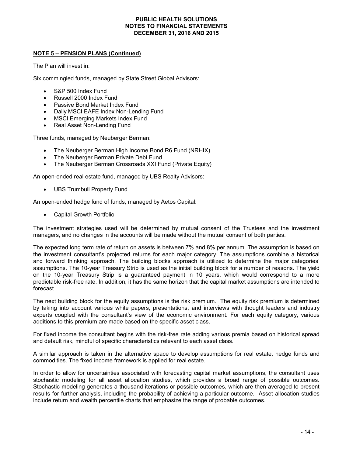### **NOTE 5 – PENSION PLANS (Continued)**

The Plan will invest in:

Six commingled funds, managed by State Street Global Advisors:

- S&P 500 Index Fund
- Russell 2000 Index Fund
- Passive Bond Market Index Fund
- Daily MSCI EAFE Index Non-Lending Fund
- MSCI Emerging Markets Index Fund
- Real Asset Non-Lending Fund

Three funds, managed by Neuberger Berman:

- The Neuberger Berman High Income Bond R6 Fund (NRHIX)
- The Neuberger Berman Private Debt Fund
- The Neuberger Berman Crossroads XXI Fund (Private Equity)

An open-ended real estate fund, managed by UBS Realty Advisors:

UBS Trumbull Property Fund

An open-ended hedge fund of funds, managed by Aetos Capital:

Capital Growth Portfolio

The investment strategies used will be determined by mutual consent of the Trustees and the investment managers, and no changes in the accounts will be made without the mutual consent of both parties.

The expected long term rate of return on assets is between 7% and 8% per annum. The assumption is based on the investment consultant's projected returns for each major category. The assumptions combine a historical and forward thinking approach. The building blocks approach is utilized to determine the major categories' assumptions. The 10-year Treasury Strip is used as the initial building block for a number of reasons. The yield on the 10-year Treasury Strip is a guaranteed payment in 10 years, which would correspond to a more predictable risk-free rate. In addition, it has the same horizon that the capital market assumptions are intended to forecast.

The next building block for the equity assumptions is the risk premium. The equity risk premium is determined by taking into account various white papers, presentations, and interviews with thought leaders and industry experts coupled with the consultant's view of the economic environment. For each equity category, various additions to this premium are made based on the specific asset class.

For fixed income the consultant begins with the risk-free rate adding various premia based on historical spread and default risk, mindful of specific characteristics relevant to each asset class.

A similar approach is taken in the alternative space to develop assumptions for real estate, hedge funds and commodities. The fixed income framework is applied for real estate.

In order to allow for uncertainties associated with forecasting capital market assumptions, the consultant uses stochastic modeling for all asset allocation studies, which provides a broad range of possible outcomes. Stochastic modeling generates a thousand iterations or possible outcomes, which are then averaged to present results for further analysis, including the probability of achieving a particular outcome. Asset allocation studies include return and wealth percentile charts that emphasize the range of probable outcomes.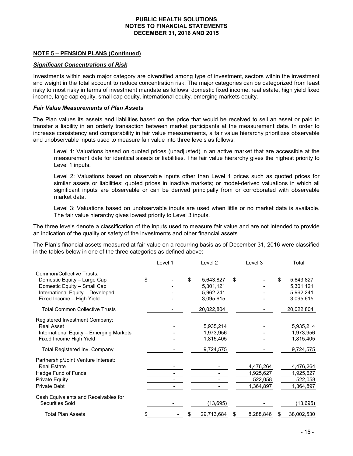#### **NOTE 5 – PENSION PLANS (Continued)**

#### *Significant Concentrations of Risk*

Investments within each major category are diversified among type of investment, sectors within the investment and weight in the total account to reduce concentration risk. The major categories can be categorized from least risky to most risky in terms of investment mandate as follows: domestic fixed income, real estate, high yield fixed income, large cap equity, small cap equity, international equity, emerging markets equity.

#### *Fair Value Measurements of Plan Assets*

The Plan values its assets and liabilities based on the price that would be received to sell an asset or paid to transfer a liability in an orderly transaction between market participants at the measurement date. In order to increase consistency and comparability in fair value measurements, a fair value hierarchy prioritizes observable and unobservable inputs used to measure fair value into three levels as follows:

Level 1: Valuations based on quoted prices (unadjusted) in an active market that are accessible at the measurement date for identical assets or liabilities. The fair value hierarchy gives the highest priority to Level 1 inputs.

Level 2: Valuations based on observable inputs other than Level 1 prices such as quoted prices for similar assets or liabilities; quoted prices in inactive markets; or model-derived valuations in which all significant inputs are observable or can be derived principally from or corroborated with observable market data.

Level 3: Valuations based on unobservable inputs are used when little or no market data is available. The fair value hierarchy gives lowest priority to Level 3 inputs.

The three levels denote a classification of the inputs used to measure fair value and are not intended to provide an indication of the quality or safety of the investments and other financial assets.

The Plan's financial assets measured at fair value on a recurring basis as of December 31, 2016 were classified in the tables below in one of the three categories as defined above:

|                                         | Level 1 | Level 2         | Level 3   | Total           |
|-----------------------------------------|---------|-----------------|-----------|-----------------|
| Common/Collective Trusts:               |         |                 |           |                 |
| Domestic Equity - Large Cap             | \$      | \$<br>5,643,827 | \$        | \$<br>5,643,827 |
| Domestic Equity - Small Cap             |         | 5,301,121       |           | 5,301,121       |
| International Equity - Developed        |         | 5,962,241       |           | 5,962,241       |
| Fixed Income - High Yield               |         | 3,095,615       |           | 3,095,615       |
| <b>Total Common Collective Trusts</b>   |         | 20,022,804      |           | 20,022,804      |
| Registered Investment Company:          |         |                 |           |                 |
| <b>Real Asset</b>                       |         | 5,935,214       |           | 5,935,214       |
| International Equity - Emerging Markets |         | 1,973,956       |           | 1,973,956       |
| Fixed Income High Yield                 |         | 1,815,405       |           | 1,815,405       |
| <b>Total Registered Inv. Company</b>    |         | 9,724,575       |           | 9,724,575       |
| Partnership/Joint Venture Interest:     |         |                 |           |                 |
| <b>Real Estate</b>                      |         |                 | 4,476,264 | 4,476,264       |
| Hedge Fund of Funds                     |         |                 | 1,925,627 | 1,925,627       |
| <b>Private Equity</b>                   |         |                 | 522,058   | 522,058         |
| <b>Private Debt</b>                     |         |                 | 1,364,897 | 1,364,897       |
| Cash Equivalents and Receivables for    |         |                 |           |                 |
| Securities Sold                         |         | (13,695)        |           | (13, 695)       |
| <b>Total Plan Assets</b>                |         | 29,713,684      | 8,288,846 | 38,002,530      |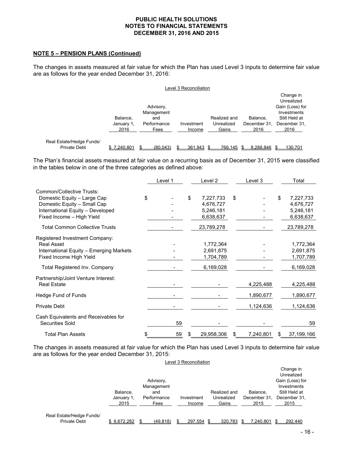#### **NOTE 5 – PENSION PLANS (Continued)**

The changes in assets measured at fair value for which the Plan has used Level 3 inputs to determine fair value are as follows for the year ended December 31, 2016:

|                                                 | Level 3 Reconciliation         |                                                       |                      |                                     |                                  |                                                                                                    |  |
|-------------------------------------------------|--------------------------------|-------------------------------------------------------|----------------------|-------------------------------------|----------------------------------|----------------------------------------------------------------------------------------------------|--|
|                                                 | Balance,<br>January 1,<br>2016 | Advisory,<br>Management<br>and<br>Performance<br>Fees | Investment<br>Income | Realized and<br>Unrealized<br>Gains | Balance.<br>December 31.<br>2016 | Change in<br>Unrealized<br>Gain (Loss) for<br>Investments<br>Still Held at<br>December 31,<br>2016 |  |
| Real Estate/Hedge Funds/<br><b>Private Debt</b> | \$7,240,801                    | (80,043)                                              | 361,943 \$           | 766,145                             | 8,288,846                        | 130,701                                                                                            |  |

The Plan's financial assets measured at fair value on a recurring basis as of December 31, 2015 were classified in the tables below in one of the three categories as defined above:

|                                         | Level 1  |    | Level 2    | Level 3         |    | Total      |
|-----------------------------------------|----------|----|------------|-----------------|----|------------|
| Common/Collective Trusts:               |          |    |            |                 |    |            |
| Domestic Equity - Large Cap             | \$       | \$ | 7,227,733  | \$              | \$ | 7,227,733  |
| Domestic Equity - Small Cap             |          |    | 4,676,727  |                 |    | 4,676,727  |
| International Equity - Developed        |          |    | 5,246,181  |                 |    | 5,246,181  |
| Fixed Income - High Yield               |          |    | 6,638,637  |                 |    | 6,638,637  |
| <b>Total Common Collective Trusts</b>   |          |    | 23,789,278 |                 |    | 23,789,278 |
| Registered Investment Company:          |          |    |            |                 |    |            |
| Real Asset                              |          |    | 1,772,364  |                 |    | 1,772,364  |
| International Equity - Emerging Markets |          |    | 2,691,875  |                 |    | 2,691,875  |
| Fixed Income High Yield                 |          |    | 1,704,789  |                 |    | 1,707,789  |
| Total Registered Inv. Company           |          |    | 6,169,028  |                 |    | 6,169,028  |
| Partnership/Joint Venture Interest:     |          |    |            |                 |    |            |
| <b>Real Estate</b>                      |          |    |            | 4,225,488       |    | 4,225,488  |
| Hedge Fund of Funds                     |          |    |            | 1,890,677       |    | 1,890,677  |
| <b>Private Debt</b>                     |          |    |            | 1,124,636       |    | 1,124,636  |
| Cash Equivalents and Receivables for    |          |    |            |                 |    |            |
| Securities Sold                         | 59       |    |            |                 |    | 59         |
| <b>Total Plan Assets</b>                | \$<br>59 | S  | 29,958,306 | \$<br>7,240,801 | S  | 37,199,166 |

The changes in assets measured at fair value for which the Plan has used Level 3 inputs to determine fair value are as follows for the year ended December 31, 2015:

| Level 3 Reconciliation                          |                                |                                                       |                      |                                     |                                  |                                                                                                    |  |
|-------------------------------------------------|--------------------------------|-------------------------------------------------------|----------------------|-------------------------------------|----------------------------------|----------------------------------------------------------------------------------------------------|--|
|                                                 | Balance,<br>January 1,<br>2015 | Advisory,<br>Management<br>and<br>Performance<br>Fees | Investment<br>Income | Realized and<br>Unrealized<br>Gains | Balance.<br>December 31,<br>2015 | Change in<br>Unrealized<br>Gain (Loss) for<br>Investments<br>Still Held at<br>December 31,<br>2015 |  |
| Real Estate/Hedge Funds/<br><b>Private Debt</b> | \$6.672.282                    | (49.818)                                              | 297.554              | 320.783                             | 7.240.801                        | 292.440                                                                                            |  |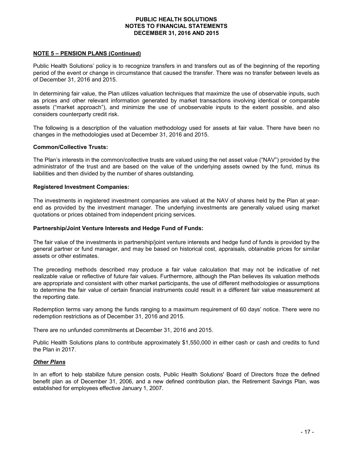#### **NOTE 5 – PENSION PLANS (Continued)**

Public Health Solutions' policy is to recognize transfers in and transfers out as of the beginning of the reporting period of the event or change in circumstance that caused the transfer. There was no transfer between levels as of December 31, 2016 and 2015.

In determining fair value, the Plan utilizes valuation techniques that maximize the use of observable inputs, such as prices and other relevant information generated by market transactions involving identical or comparable assets ("market approach"), and minimize the use of unobservable inputs to the extent possible, and also considers counterparty credit risk.

The following is a description of the valuation methodology used for assets at fair value. There have been no changes in the methodologies used at December 31, 2016 and 2015.

#### **Common/Collective Trusts:**

The Plan's interests in the common/collective trusts are valued using the net asset value ("NAV") provided by the administrator of the trust and are based on the value of the underlying assets owned by the fund, minus its liabilities and then divided by the number of shares outstanding.

#### **Registered Investment Companies:**

The investments in registered investment companies are valued at the NAV of shares held by the Plan at yearend as provided by the investment manager. The underlying investments are generally valued using market quotations or prices obtained from independent pricing services.

#### **Partnership/Joint Venture Interests and Hedge Fund of Funds:**

The fair value of the investments in partnership/joint venture interests and hedge fund of funds is provided by the general partner or fund manager, and may be based on historical cost, appraisals, obtainable prices for similar assets or other estimates.

The preceding methods described may produce a fair value calculation that may not be indicative of net realizable value or reflective of future fair values. Furthermore, although the Plan believes its valuation methods are appropriate and consistent with other market participants, the use of different methodologies or assumptions to determine the fair value of certain financial instruments could result in a different fair value measurement at the reporting date.

Redemption terms vary among the funds ranging to a maximum requirement of 60 days' notice. There were no redemption restrictions as of December 31, 2016 and 2015.

There are no unfunded commitments at December 31, 2016 and 2015.

Public Health Solutions plans to contribute approximately \$1,550,000 in either cash or cash and credits to fund the Plan in 2017.

#### *Other Plans*

In an effort to help stabilize future pension costs, Public Health Solutions' Board of Directors froze the defined benefit plan as of December 31, 2006, and a new defined contribution plan, the Retirement Savings Plan, was established for employees effective January 1, 2007.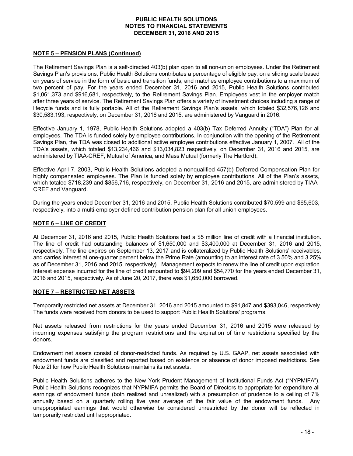#### **NOTE 5 – PENSION PLANS (Continued)**

The Retirement Savings Plan is a self-directed 403(b) plan open to all non-union employees. Under the Retirement Savings Plan's provisions, Public Health Solutions contributes a percentage of eligible pay, on a sliding scale based on years of service in the form of basic and transition funds, and matches employee contributions to a maximum of two percent of pay. For the years ended December 31, 2016 and 2015, Public Health Solutions contributed \$1,061,373 and \$916,681, respectively, to the Retirement Savings Plan. Employees vest in the employer match after three years of service. The Retirement Savings Plan offers a variety of investment choices including a range of lifecycle funds and is fully portable. All of the Retirement Savings Plan's assets, which totaled \$32,576,126 and \$30,583,193, respectively, on December 31, 2016 and 2015, are administered by Vanguard in 2016.

Effective January 1, 1978, Public Health Solutions adopted a 403(b) Tax Deferred Annuity ("TDA") Plan for all employees. The TDA is funded solely by employee contributions. In conjunction with the opening of the Retirement Savings Plan, the TDA was closed to additional active employee contributions effective January 1, 2007. All of the TDA's assets, which totaled \$13,234,466 and \$13,034,823 respectively, on December 31, 2016 and 2015, are administered by TIAA-CREF, Mutual of America, and Mass Mutual (formerly The Hartford).

Effective April 7, 2003, Public Health Solutions adopted a nonqualified 457(b) Deferred Compensation Plan for highly compensated employees. The Plan is funded solely by employee contributions. All of the Plan's assets, which totaled \$718,239 and \$856,716, respectively, on December 31, 2016 and 2015, are administered by TIAA-CREF and Vanguard.

During the years ended December 31, 2016 and 2015, Public Health Solutions contributed \$70,599 and \$65,603, respectively, into a multi-employer defined contribution pension plan for all union employees.

#### **NOTE 6 – LINE OF CREDIT**

At December 31, 2016 and 2015, Public Health Solutions had a \$5 million line of credit with a financial institution. The line of credit had outstanding balances of \$1,650,000 and \$3,400,000 at December 31, 2016 and 2015, respectively. The line expires on September 13, 2017 and is collateralized by Public Health Solutions' receivables, and carries interest at one-quarter percent below the Prime Rate (amounting to an interest rate of 3.50% and 3.25% as of December 31, 2016 and 2015, respectively). Management expects to renew the line of credit upon expiration. Interest expense incurred for the line of credit amounted to \$94,209 and \$54,770 for the years ended December 31, 2016 and 2015, respectively. As of June 20, 2017, there was \$1,650,000 borrowed.

## **NOTE 7 – RESTRICTED NET ASSETS**

Temporarily restricted net assets at December 31, 2016 and 2015 amounted to \$91,847 and \$393,046, respectively. The funds were received from donors to be used to support Public Health Solutions' programs.

Net assets released from restrictions for the years ended December 31, 2016 and 2015 were released by incurring expenses satisfying the program restrictions and the expiration of time restrictions specified by the donors.

Endowment net assets consist of donor-restricted funds. As required by U.S. GAAP, net assets associated with endowment funds are classified and reported based on existence or absence of donor imposed restrictions. See Note 2I for how Public Health Solutions maintains its net assets.

Public Health Solutions adheres to the New York Prudent Management of Institutional Funds Act ("NYPMIFA"). Public Health Solutions recognizes that NYPMIFA permits the Board of Directors to appropriate for expenditure all earnings of endowment funds (both realized and unrealized) with a presumption of prudence to a ceiling of 7% annually based on a quarterly rolling five year average of the fair value of the endowment funds. Any unappropriated earnings that would otherwise be considered unrestricted by the donor will be reflected in temporarily restricted until appropriated.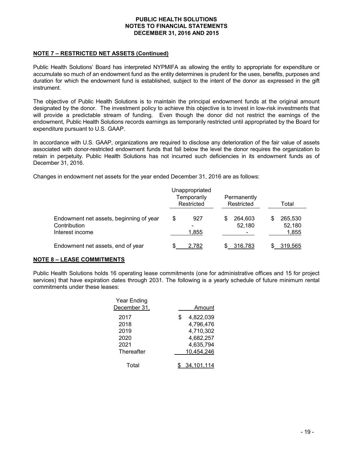# **NOTE 7 – RESTRICTED NET ASSETS (Continued)**

Public Health Solutions' Board has interpreted NYPMIFA as allowing the entity to appropriate for expenditure or accumulate so much of an endowment fund as the entity determines is prudent for the uses, benefits, purposes and duration for which the endowment fund is established, subject to the intent of the donor as expressed in the gift instrument.

The objective of Public Health Solutions is to maintain the principal endowment funds at the original amount designated by the donor. The investment policy to achieve this objective is to invest in low-risk investments that will provide a predictable stream of funding. Even though the donor did not restrict the earnings of the endowment, Public Health Solutions records earnings as temporarily restricted until appropriated by the Board for expenditure pursuant to U.S. GAAP.

In accordance with U.S. GAAP, organizations are required to disclose any deterioration of the fair value of assets associated with donor-restricted endowment funds that fall below the level the donor requires the organization to retain in perpetuity. Public Health Solutions has not incurred such deficiencies in its endowment funds as of December 31, 2016.

Changes in endowment net assets for the year ended December 31, 2016 are as follows:

|                                                                            |    | Unappropriated<br>Temporarily<br>Restricted |   | Permanently<br>Restricted | Total |                            |
|----------------------------------------------------------------------------|----|---------------------------------------------|---|---------------------------|-------|----------------------------|
| Endowment net assets, beginning of year<br>Contribution<br>Interest income | \$ | 927<br>1,855                                | S | 264.603<br>52,180         | \$    | 265,530<br>52,180<br>1,855 |
| Endowment net assets, end of year                                          |    | 2.782                                       |   | 316,783                   |       | 319.565                    |

## **NOTE 8 – LEASE COMMITMENTS**

Public Health Solutions holds 16 operating lease commitments (one for administrative offices and 15 for project services) that have expiration dates through 2031. The following is a yearly schedule of future minimum rental commitments under these leases:

| Year Ending       |                 |
|-------------------|-----------------|
| December 31,      | Amount          |
| 2017              | 4,822,039<br>\$ |
| 2018              | 4,796,476       |
| 2019              | 4,710,302       |
| 2020              | 4,682,257       |
| 2021              | 4,635,794       |
| <b>Thereafter</b> | 10,454,246      |
| Total             | 34.101.114      |
|                   |                 |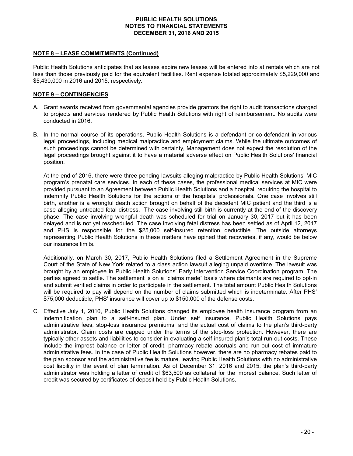## **NOTE 8 – LEASE COMMITMENTS (Continued)**

Public Health Solutions anticipates that as leases expire new leases will be entered into at rentals which are not less than those previously paid for the equivalent facilities. Rent expense totaled approximately \$5,229,000 and \$5,430,000 in 2016 and 2015, respectively.

# **NOTE 9 – CONTINGENCIES**

- A. Grant awards received from governmental agencies provide grantors the right to audit transactions charged to projects and services rendered by Public Health Solutions with right of reimbursement. No audits were conducted in 2016.
- B. In the normal course of its operations, Public Health Solutions is a defendant or co-defendant in various legal proceedings, including medical malpractice and employment claims. While the ultimate outcomes of such proceedings cannot be determined with certainty, Management does not expect the resolution of the legal proceedings brought against it to have a material adverse effect on Public Health Solutions' financial position.

At the end of 2016, there were three pending lawsuits alleging malpractice by Public Health Solutions' MIC program's prenatal care services. In each of these cases, the professional medical services at MIC were provided pursuant to an Agreement between Public Health Solutions and a hospital, requiring the hospital to indemnify Public Health Solutions for the actions of the hospitals' professionals. One case involves still birth, another is a wrongful death action brought on behalf of the decedent MIC patient and the third is a case alleging untreated fetal distress. The case involving still birth is currently at the end of the discovery phase. The case involving wrongful death was scheduled for trial on January 30, 2017 but it has been delayed and is not yet rescheduled. The case involving fetal distress has been settled as of April 12, 2017 and PHS is responsible for the \$25,000 self-insured retention deductible. The outside attorneys representing Public Health Solutions in these matters have opined that recoveries, if any, would be below our insurance limits.

Additionally, on March 30, 2017, Public Health Solutions filed a Settlement Agreement in the Supreme Court of the State of New York related to a class action lawsuit alleging unpaid overtime. The lawsuit was brought by an employee in Public Health Solutions' Early Intervention Service Coordination program. The parties agreed to settle. The settlement is on a "claims made" basis where claimants are required to opt-in and submit verified claims in order to participate in the settlement. The total amount Public Health Solutions will be required to pay will depend on the number of claims submitted which is indeterminate. After PHS' \$75,000 deductible, PHS' insurance will cover up to \$150,000 of the defense costs.

C. Effective July 1, 2010, Public Health Solutions changed its employee health insurance program from an indemnification plan to a self-insured plan. Under self insurance, Public Health Solutions pays administrative fees, stop-loss insurance premiums, and the actual cost of claims to the plan's third-party administrator. Claim costs are capped under the terms of the stop-loss protection. However, there are typically other assets and liabilities to consider in evaluating a self-insured plan's total run-out costs. These include the imprest balance or letter of credit, pharmacy rebate accruals and run-out cost of immature administrative fees. In the case of Public Health Solutions however, there are no pharmacy rebates paid to the plan sponsor and the administrative fee is mature, leaving Public Health Solutions with no administrative cost liability in the event of plan termination. As of December 31, 2016 and 2015, the plan's third-party administrator was holding a letter of credit of \$63,500 as collateral for the imprest balance. Such letter of credit was secured by certificates of deposit held by Public Health Solutions.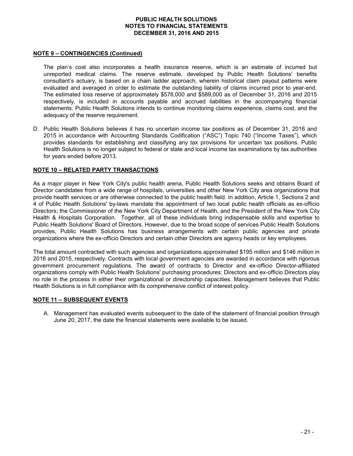#### **NOTE 9 – CONTINGENCIES (Continued)**

The plan's cost also incorporates a health insurance reserve, which is an estimate of incurred but unreported medical claims. The reserve estimate, developed by Public Health Solutions' benefits consultant's actuary, is based on a chain ladder approach, wherein historical claim payout patterns were evaluated and averaged in order to estimate the outstanding liability of claims incurred prior to year-end. The estimated loss reserve of approximately \$576,000 and \$589,000 as of December 31, 2016 and 2015 respectively, is included in accounts payable and accrued liabilities in the accompanying financial statements. Public Health Solutions intends to continue monitoring claims experience, claims cost, and the adequacy of the reserve requirement.

D. Public Health Solutions believes it has no uncertain income tax positions as of December 31, 2016 and 2015 in accordance with Accounting Standards Codification ("ASC") Topic 740 ("Income Taxes"), which provides standards for establishing and classifying any tax provisions for uncertain tax positions. Public Health Solutions is no longer subject to federal or state and local income tax examinations by tax authorities for years ended before 2013.

#### **NOTE 10 – RELATED PARTY TRANSACTIONS**

As a major player in New York City's public health arena, Public Health Solutions seeks and obtains Board of Director candidates from a wide range of hospitals, universities and other New York City area organizations that provide health services or are otherwise connected to the public health field. In addition, Article 1, Sections 2 and 4 of Public Health Solutions' by-laws mandate the appointment of two local public health officials as ex-officio Directors; the Commissioner of the New York City Department of Health, and the President of the New York City Health & Hospitals Corporation. Together, all of these individuals bring indispensable skills and expertise to Public Health Solutions' Board of Directors. However, due to the broad scope of services Public Health Solutions provides, Public Health Solutions has business arrangements with certain public agencies and private organizations where the ex-officio Directors and certain other Directors are agency heads or key employees.

The total amount contracted with such agencies and organizations approximated \$195 million and \$146 million in 2016 and 2015, respectively. Contracts with local government agencies are awarded in accordance with rigorous government procurement regulations. The award of contracts to Director and ex-officio Director-affiliated organizations comply with Public Health Solutions' purchasing procedures; Directors and ex-officio Directors play no role in the process in either their organizational or directorship capacities. Management believes that Public Health Solutions is in full compliance with its comprehensive conflict of interest policy.

#### **NOTE 11 – SUBSEQUENT EVENTS**

A. Management has evaluated events subsequent to the date of the statement of financial position through June 20, 2017, the date the financial statements were available to be issued.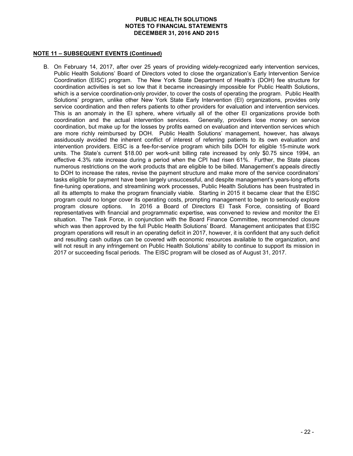# **NOTE 11 – SUBSEQUENT EVENTS (Continued)**

B. On February 14, 2017, after over 25 years of providing widely-recognized early intervention services, Public Health Solutions' Board of Directors voted to close the organization's Early Intervention Service Coordination (EISC) program. The New York State Department of Health's (DOH) fee structure for coordination activities is set so low that it became increasingly impossible for Public Health Solutions, which is a service coordination-only provider, to cover the costs of operating the program. Public Health Solutions' program, unlike other New York State Early Intervention (EI) organizations, provides only service coordination and then refers patients to other providers for evaluation and intervention services. This is an anomaly in the EI sphere, where virtually all of the other EI organizations provide both coordination and the actual intervention services. Generally, providers lose money on service coordination, but make up for the losses by profits earned on evaluation and intervention services which are more richly reimbursed by DOH. Public Health Solutions' management, however, has always assiduously avoided the inherent conflict of interest of referring patients to its own evaluation and intervention providers. EISC is a fee-for-service program which bills DOH for eligible 15-minute work units. The State's current \$18.00 per work-unit billing rate increased by only \$0.75 since 1994, an effective 4.3% rate increase during a period when the CPI had risen 61%. Further, the State places numerous restrictions on the work products that are eligible to be billed. Management's appeals directly to DOH to increase the rates, revise the payment structure and make more of the service coordinators' tasks eligible for payment have been largely unsuccessful, and despite management's years-long efforts fine-tuning operations, and streamlining work processes, Public Health Solutions has been frustrated in all its attempts to make the program financially viable. Starting in 2015 it became clear that the EISC program could no longer cover its operating costs, prompting management to begin to seriously explore program closure options. In 2016 a Board of Directors EI Task Force, consisting of Board representatives with financial and programmatic expertise, was convened to review and monitor the EI situation. The Task Force, in conjunction with the Board Finance Committee, recommended closure which was then approved by the full Public Health Solutions' Board. Management anticipates that EISC program operations will result in an operating deficit in 2017, however, it is confident that any such deficit and resulting cash outlays can be covered with economic resources available to the organization, and will not result in any infringement on Public Health Solutions' ability to continue to support its mission in 2017 or succeeding fiscal periods. The EISC program will be closed as of August 31, 2017.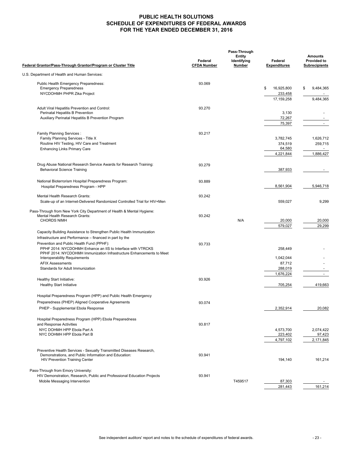### **PUBLIC HEALTH SOLUTIONS SCHEDULE OF EXPENDITURES OF FEDERAL AWARDS FOR THE YEAR ENDED DECEMBER 31, 2016**

|                                                                                                          | Pass-Through                  |                                        |                                |                                                              |  |
|----------------------------------------------------------------------------------------------------------|-------------------------------|----------------------------------------|--------------------------------|--------------------------------------------------------------|--|
| Federal Grantor/Pass-Through Grantor/Program or Cluster Title                                            | Federal<br><b>CFDA Number</b> | <b>Entity</b><br>Identifying<br>Number | Federal<br><b>Expenditures</b> | <b>Amounts</b><br><b>Provided to</b><br><b>Subrecipients</b> |  |
| U.S. Department of Health and Human Services:                                                            |                               |                                        |                                |                                                              |  |
| Public Health Emergency Preparedness:                                                                    | 93.069                        |                                        |                                |                                                              |  |
| <b>Emergency Preparedness</b>                                                                            |                               |                                        | \$<br>16,925,800               | \$<br>9,484,365                                              |  |
| NYCDOHMH PHPR Zika Project                                                                               |                               |                                        | 233,458                        |                                                              |  |
|                                                                                                          |                               |                                        | 17, 159, 258                   | 9,484,365                                                    |  |
| Adult Viral Hepatitis Prevention and Control:                                                            | 93.270                        |                                        |                                |                                                              |  |
| Perinatal Hepatitis B Prevention                                                                         |                               |                                        | 3,130                          |                                                              |  |
| Auxiliary Perinatal Hepatitis B Prevention Program                                                       |                               |                                        | 72,267                         |                                                              |  |
|                                                                                                          |                               |                                        | 75,397                         | $\sim$                                                       |  |
| Family Planning Services :                                                                               | 93.217                        |                                        |                                |                                                              |  |
| Family Planning Services - Title X                                                                       |                               |                                        | 3,782,745                      | 1,626,712                                                    |  |
| Routine HIV Testing, HIV Care and Treatment                                                              |                               |                                        | 374,519                        | 259,715                                                      |  |
| <b>Enhancing Links Primary Care</b>                                                                      |                               |                                        | 64,580                         | $\sim$                                                       |  |
|                                                                                                          |                               |                                        | 4,221,844                      | 1,886,427                                                    |  |
| Drug Abuse National Research Service Awards for Research Training:                                       | 93.279                        |                                        |                                |                                                              |  |
| <b>Behavioral Science Training</b>                                                                       |                               |                                        | 387,933                        |                                                              |  |
|                                                                                                          |                               |                                        |                                |                                                              |  |
| National Bioterrorism Hospital Preparedness Program:                                                     | 93.889                        |                                        |                                |                                                              |  |
| Hospital Preparedness Program - HPP                                                                      |                               |                                        | 8,561,904                      | 5,946,718                                                    |  |
| Mental Health Research Grants:                                                                           | 93.242                        |                                        |                                |                                                              |  |
| Scale-up of an Internet-Delivered Randomized Controlled Trial for HIV+Men                                |                               |                                        | 559,027                        | 9,299                                                        |  |
|                                                                                                          |                               |                                        |                                |                                                              |  |
| Pass-Through from New York City Department of Health & Mental Hygiene:                                   |                               |                                        |                                |                                                              |  |
| Mental Health Research Grants:<br><b>CHORDS NIMH</b>                                                     | 93.242                        | N/A                                    | 20,000                         | 20,000                                                       |  |
|                                                                                                          |                               |                                        | 579,027                        | 29,299                                                       |  |
| Capacity Building Assistance to Strengthen Public Health Immunization                                    |                               |                                        |                                |                                                              |  |
| Infrastructure and Performance - financed in part by the                                                 |                               |                                        |                                |                                                              |  |
| Prevention and Public Health Fund (PPHF):                                                                | 93.733                        |                                        |                                |                                                              |  |
| PPHF 2014: NYCDOHMH Enhance an IIS to Interface with VTRCKS                                              |                               |                                        | 258,449                        |                                                              |  |
| PPHF 2014: NYCDOHMH Immunization Infrastructure Enhancements to Meet                                     |                               |                                        |                                |                                                              |  |
| Interoperability Requirements<br><b>AFIX Assessments</b>                                                 |                               |                                        | 1,042,044<br>87,712            |                                                              |  |
| Standards for Adult Immunization                                                                         |                               |                                        | 288,019                        |                                                              |  |
|                                                                                                          |                               |                                        | 1,676,224                      | $\blacksquare$                                               |  |
| Healthy Start Initiative:                                                                                | 93.926                        |                                        |                                |                                                              |  |
| <b>Healthy Start Initiative</b>                                                                          |                               |                                        | 705,254                        | 419,663                                                      |  |
|                                                                                                          |                               |                                        |                                |                                                              |  |
| Hospital Preparedness Program (HPP) and Public Health Emergency                                          |                               |                                        |                                |                                                              |  |
| Preparedness (PHEP) Aligned Cooperative Agreements                                                       | 93.074                        |                                        |                                |                                                              |  |
| PHEP - Supplemental Ebola Response                                                                       |                               |                                        | 2,352,914                      | 20,082                                                       |  |
| Hospital Preparedness Program (HPP) Ebola Preparedness                                                   |                               |                                        |                                |                                                              |  |
| and Response Activities                                                                                  | 93.817                        |                                        |                                |                                                              |  |
| NYC DOHMH HPP Ebola Part A                                                                               |                               |                                        | 4,573,700                      | 2,074,422                                                    |  |
| NYC DOHMH HPP Ebola Part B                                                                               |                               |                                        | 223,402                        | 97,423                                                       |  |
|                                                                                                          |                               |                                        | 4,797,102                      | 2,171,845                                                    |  |
| Preventive Health Services - Sexually Transmitted Diseases Research,                                     |                               |                                        |                                |                                                              |  |
| Demonstrations, and Public Information and Education:                                                    | 93.941                        |                                        |                                |                                                              |  |
| HIV Prevention Training Center                                                                           |                               |                                        | 194,140                        | 161,214                                                      |  |
|                                                                                                          |                               |                                        |                                |                                                              |  |
| Pass-Through from Emory University:                                                                      |                               |                                        |                                |                                                              |  |
| HIV Demonstration, Research, Public and Professional Education Projects<br>Mobile Messaging Intervention | 93.941                        | T459517                                |                                |                                                              |  |
|                                                                                                          |                               |                                        | 87,303<br>281,443              | 161,214                                                      |  |
|                                                                                                          |                               |                                        |                                |                                                              |  |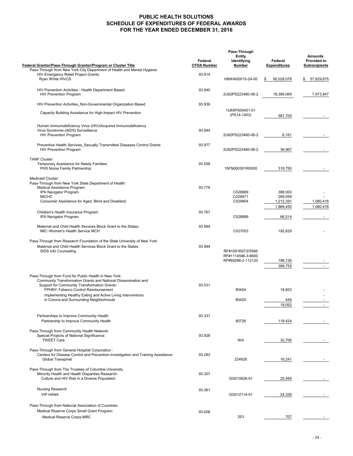#### **PUBLIC HEALTH SOLUTIONS SCHEDULE OF EXPENDITURES OF FEDERAL AWARDS FOR THE YEAR ENDED DECEMBER 31, 2016**

|                                                                                                                                             |                               | Pass-Through                           |                                |                                                              |  |
|---------------------------------------------------------------------------------------------------------------------------------------------|-------------------------------|----------------------------------------|--------------------------------|--------------------------------------------------------------|--|
| Federal Grantor/Pass-Through Grantor/Program or Cluster Title                                                                               | Federal<br><b>CFDA Number</b> | <b>Entity</b><br>Identifying<br>Number | Federal<br><b>Expenditures</b> | <b>Amounts</b><br><b>Provided to</b><br><b>Subrecipients</b> |  |
| Pass-Through from New York City Department of Health and Mental Hygiene:                                                                    |                               |                                        |                                |                                                              |  |
| HIV Emergency Relief Project Grants:<br>Ryan White HIVCS                                                                                    | 93.914                        | H89HA00015-24-00                       | 95,028,078<br>\$               | 57,829,675<br>\$                                             |  |
| HIV Prevention Activities - Health Department Based:<br><b>HIV Prevention Program</b>                                                       | 93.940                        | 2U62PS223460-06-2                      | 18,389,069                     | 7,973,847                                                    |  |
| HIV Prevention Activities_Non-Governmental Organization Based                                                                               | 93.939                        |                                        |                                |                                                              |  |
| Capacity Building Assistance for High-Impact HIV Prevention                                                                                 |                               | 1U65PS00451-01<br>(PS14-1403)          | 587,705                        |                                                              |  |
| Human Immunodeficiency Virus (HIV)/Acquired Immunodeficiency                                                                                |                               |                                        |                                |                                                              |  |
| Virus Syndrome (AIDS) Surveillance<br><b>HIV Prevention Program</b>                                                                         | 93.944                        | 2U62PS223460-06-2                      | 6,161                          |                                                              |  |
|                                                                                                                                             |                               |                                        |                                |                                                              |  |
| Preventive Health Services_Sexually Transmitted Diseases Control Grants<br><b>HIV Prevention Program</b>                                    | 93.977                        | 2U62PS223460-06-2                      | 36,967                         |                                                              |  |
| <b>TANF Cluster:</b>                                                                                                                        |                               |                                        |                                |                                                              |  |
| Temporary Assistance for Needy Families:<br>PHS Nurse Family Partnership                                                                    | 93.558                        | 15FN000301R0X00                        | 318,750                        |                                                              |  |
| Medicaid Cluster:                                                                                                                           |                               |                                        |                                |                                                              |  |
| Pass-Through from New York State Department of Health:                                                                                      |                               |                                        |                                |                                                              |  |
| Medical Assistance Program:                                                                                                                 | 93.778                        |                                        |                                |                                                              |  |
| IPA Navigator Program<br><b>MICHC</b>                                                                                                       |                               | C028889<br>C028971                     | 388.000<br>269,059             |                                                              |  |
| Consumer Assistance for Aged, Blind and Disabled)                                                                                           |                               | C029904                                | 1,212,391                      | 1,080,416                                                    |  |
|                                                                                                                                             |                               |                                        | 1,869,450                      | 1,080,416                                                    |  |
| Children's Health Insurance Program:                                                                                                        | 93.767                        |                                        |                                |                                                              |  |
| IPA Navigator Program                                                                                                                       |                               | C028889                                | 66,514                         |                                                              |  |
| Maternal and Child Health Services Block Grant to the States:<br>MIC-Women's Health Service MCH                                             | 93.994                        | C027053                                | 192,629                        |                                                              |  |
|                                                                                                                                             |                               |                                        |                                |                                                              |  |
| Pass-Through from Research Foundation of the State University of New York:<br>Maternal and Child Health Services Block Grant to the States: | 93.994                        |                                        |                                |                                                              |  |
| SIDS Info Counseling                                                                                                                        |                               | RF#1091697/2/5596                      |                                |                                                              |  |
|                                                                                                                                             |                               | RF#1114596-3-6600                      |                                |                                                              |  |
|                                                                                                                                             |                               | RF#69296-2-112120                      | 196,126                        |                                                              |  |
|                                                                                                                                             |                               |                                        | 388,755                        |                                                              |  |
| Pass-Through from Fund for Public Health in New York:                                                                                       |                               |                                        |                                |                                                              |  |
| Community Transformation Grants and National Dissemination and                                                                              |                               |                                        |                                |                                                              |  |
| Support for Community Transformation Grants:                                                                                                | 93.531                        |                                        |                                |                                                              |  |
| FPHNY-Tobacco Control Reimbursement                                                                                                         |                               | 80404                                  | 18,603                         |                                                              |  |
| Implementing Healthy Eating and Active Living Interventions<br>in Corona and Surrounding Neighborhoods                                      |                               | 80420                                  | 449                            |                                                              |  |
|                                                                                                                                             |                               |                                        | 19,052                         | $\sim$                                                       |  |
|                                                                                                                                             |                               |                                        |                                |                                                              |  |
| Partnerships to Improve Community Health                                                                                                    | 93.331                        |                                        |                                |                                                              |  |
| Partnership to Improve Community Health                                                                                                     |                               | 80726                                  | 119,424                        |                                                              |  |
| Pass-Through from Community Health Network:                                                                                                 |                               |                                        |                                |                                                              |  |
| Special Projects of National Significance:                                                                                                  | 93.928                        |                                        |                                |                                                              |  |
| <b>TWEET Care</b>                                                                                                                           |                               | N/A                                    | 32,706                         |                                                              |  |
| Pass-Through from General Hospital Corporation :                                                                                            |                               |                                        |                                |                                                              |  |
| Centers for Disease Control and Prevention-Investigation and Training Assistance:                                                           | 93.283                        |                                        |                                |                                                              |  |
| <b>Global Travepinet</b>                                                                                                                    |                               | 224928                                 | 16,241                         |                                                              |  |
| Pass-Through from The Trustees of Columbia University                                                                                       |                               |                                        |                                |                                                              |  |
| Minority Health and Health Disparities Research:                                                                                            | 93.307                        |                                        |                                |                                                              |  |
| Culture and HIV Risk in a Diverse Population                                                                                                |                               | GG010626-01                            | 25,484                         |                                                              |  |
| Nursing Research                                                                                                                            | 93.361                        |                                        |                                |                                                              |  |
| <b>VIP HANA</b>                                                                                                                             |                               | GG012114-01                            | 24,326                         |                                                              |  |
|                                                                                                                                             |                               |                                        |                                |                                                              |  |
| Pass-Through from National Association of Countries                                                                                         |                               |                                        |                                |                                                              |  |
| Medical Reserve Corps Small Grant Program:                                                                                                  | 93.008                        |                                        |                                |                                                              |  |
| Medical Reserve Corps-MRC                                                                                                                   |                               | 253                                    | 707                            |                                                              |  |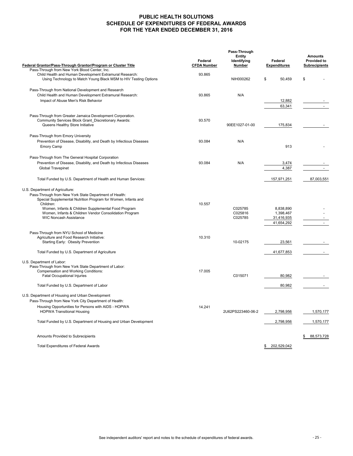### **PUBLIC HEALTH SOLUTIONS SCHEDULE OF EXPENDITURES OF FEDERAL AWARDS FOR THE YEAR ENDED DECEMBER 31, 2016**

|                                                                                                                                                                                                                                                                                                                           |                               | Pass-Through                           |                                                    |                                                              |  |
|---------------------------------------------------------------------------------------------------------------------------------------------------------------------------------------------------------------------------------------------------------------------------------------------------------------------------|-------------------------------|----------------------------------------|----------------------------------------------------|--------------------------------------------------------------|--|
| Federal Grantor/Pass-Through Grantor/Program or Cluster Title                                                                                                                                                                                                                                                             | Federal<br><b>CFDA Number</b> | <b>Entity</b><br>Identifying<br>Number | Federal<br><b>Expenditures</b>                     | <b>Amounts</b><br><b>Provided to</b><br><b>Subrecipients</b> |  |
| Pass-Through from New York Blood Center, Inc.<br>Child Health and Human Development Extramural Research:<br>Using Technology to Match Young Black MSM to HIV Testing Options                                                                                                                                              | 93.865                        | NIH000262                              | \$<br>50,459                                       | \$                                                           |  |
|                                                                                                                                                                                                                                                                                                                           |                               |                                        |                                                    |                                                              |  |
| Pass-Through from National Development and Research                                                                                                                                                                                                                                                                       |                               |                                        |                                                    |                                                              |  |
| Child Health and Human Development Extramural Research:                                                                                                                                                                                                                                                                   | 93.865                        | N/A                                    |                                                    |                                                              |  |
| Impact of Abuse Men's Risk Behavior                                                                                                                                                                                                                                                                                       |                               |                                        | 12,882                                             |                                                              |  |
|                                                                                                                                                                                                                                                                                                                           |                               |                                        | 63,341                                             |                                                              |  |
| Pass-Through from Greater Jamaica Development Corporation.<br>Community Services Block Grant Discretionary Awards:<br>Queens Healthy Store Initiative                                                                                                                                                                     | 93.570                        | 90EE1027-01-00                         | 175,834                                            |                                                              |  |
| Pass-Through from Emory University                                                                                                                                                                                                                                                                                        |                               |                                        |                                                    |                                                              |  |
| Prevention of Disease, Disability, and Death by Infectious Diseases<br><b>Emory Camp</b>                                                                                                                                                                                                                                  | 93.084                        | N/A                                    | 913                                                |                                                              |  |
| Pass-Through from The General Hospital Corporation                                                                                                                                                                                                                                                                        |                               |                                        |                                                    |                                                              |  |
| Prevention of Disease, Disability, and Death by Infectious Diseases                                                                                                                                                                                                                                                       | 93.084                        | N/A                                    | 3,474                                              |                                                              |  |
| <b>Global Travepinet</b>                                                                                                                                                                                                                                                                                                  |                               |                                        | 4,387                                              |                                                              |  |
|                                                                                                                                                                                                                                                                                                                           |                               |                                        |                                                    |                                                              |  |
| Total Funded by U.S. Department of Health and Human Services:                                                                                                                                                                                                                                                             |                               |                                        | 157,971,251                                        | 87,003,551                                                   |  |
| U.S. Department of Agriculture:<br>Pass-Through from New York State Department of Health:<br>Special Supplemental Nutrition Program for Women, Infants and<br>Children:<br>Women, Infants & Children Supplemental Food Program<br>Women, Infants & Children Vendor Consolidation Program<br><b>WIC Noncash Assistance</b> | 10.557                        | C025785<br>C025816<br>C025785          | 8,838,890<br>1.398.467<br>31,416,935<br>41,654,292 |                                                              |  |
| Pass-Through from NYU School of Medicine                                                                                                                                                                                                                                                                                  |                               |                                        |                                                    |                                                              |  |
| Agriculture and Food Research Initiative:                                                                                                                                                                                                                                                                                 | 10.310                        |                                        |                                                    |                                                              |  |
| Starting Early: Obesity Prevention                                                                                                                                                                                                                                                                                        |                               | 10-02175                               | 23,561                                             |                                                              |  |
| Total Funded by U.S. Department of Agriculture                                                                                                                                                                                                                                                                            |                               |                                        | 41,677,853                                         |                                                              |  |
|                                                                                                                                                                                                                                                                                                                           |                               |                                        |                                                    |                                                              |  |
| U.S. Department of Labor:<br>Pass-Through from New York State Department of Labor:                                                                                                                                                                                                                                        |                               |                                        |                                                    |                                                              |  |
| Compensation and Working Conditions:                                                                                                                                                                                                                                                                                      | 17.005                        |                                        |                                                    |                                                              |  |
| Fatal Occupational Injuries                                                                                                                                                                                                                                                                                               |                               | C015071                                | 80,982                                             |                                                              |  |
|                                                                                                                                                                                                                                                                                                                           |                               |                                        |                                                    |                                                              |  |
| Total Funded by U.S. Department of Labor                                                                                                                                                                                                                                                                                  |                               |                                        | 80,982                                             |                                                              |  |
| U.S. Department of Housing and Urban Development                                                                                                                                                                                                                                                                          |                               |                                        |                                                    |                                                              |  |
| Pass-Through from New York City Department of Health:                                                                                                                                                                                                                                                                     |                               |                                        |                                                    |                                                              |  |
| Housing Opportunities for Persons with AIDS - HOPWA<br><b>HOPWA Transitional Housing</b>                                                                                                                                                                                                                                  | 14.241                        | 2U62PS223460-06-2                      | 2,798,956                                          | 1,570,177                                                    |  |
|                                                                                                                                                                                                                                                                                                                           |                               |                                        |                                                    |                                                              |  |
| Total Funded by U.S. Department of Housing and Urban Development                                                                                                                                                                                                                                                          |                               |                                        | 2,798,956                                          | 1,570,177                                                    |  |
| Amounts Provided to Subrecipients                                                                                                                                                                                                                                                                                         |                               |                                        |                                                    | 88,573,728                                                   |  |
| <b>Total Expenditures of Federal Awards</b>                                                                                                                                                                                                                                                                               |                               |                                        | 202,529,042<br>\$                                  |                                                              |  |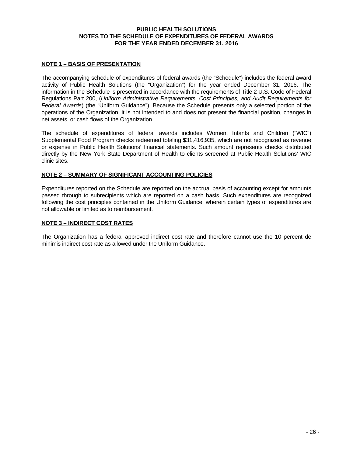#### **PUBLIC HEALTH SOLUTIONS NOTES TO THE SCHEDULE OF EXPENDITURES OF FEDERAL AWARDS FOR THE YEAR ENDED DECEMBER 31, 2016**

#### **NOTE 1 – BASIS OF PRESENTATION**

The accompanying schedule of expenditures of federal awards (the "Schedule") includes the federal award activity of Public Health Solutions (the "Organization") for the year ended December 31, 2016. The information in the Schedule is presented in accordance with the requirements of Title 2 U.S. Code of Federal Regulations Part 200, (*Uniform Administrative Requirements, Cost Principles, and Audit Requirements for Federal Awards*) (the "Uniform Guidance"). Because the Schedule presents only a selected portion of the operations of the Organization, it is not intended to and does not present the financial position, changes in net assets, or cash flows of the Organization.

The schedule of expenditures of federal awards includes Women, Infants and Children ("WIC") Supplemental Food Program checks redeemed totaling \$31,416,935, which are not recognized as revenue or expense in Public Health Solutions' financial statements. Such amount represents checks distributed directly by the New York State Department of Health to clients screened at Public Health Solutions' WIC clinic sites.

#### **NOTE 2 – SUMMARY OF SIGNIFICANT ACCOUNTING POLICIES**

Expenditures reported on the Schedule are reported on the accrual basis of accounting except for amounts passed through to subrecipients which are reported on a cash basis. Such expenditures are recognized following the cost principles contained in the Uniform Guidance, wherein certain types of expenditures are not allowable or limited as to reimbursement.

#### **NOTE 3 – INDIRECT COST RATES**

The Organization has a federal approved indirect cost rate and therefore cannot use the 10 percent de minimis indirect cost rate as allowed under the Uniform Guidance.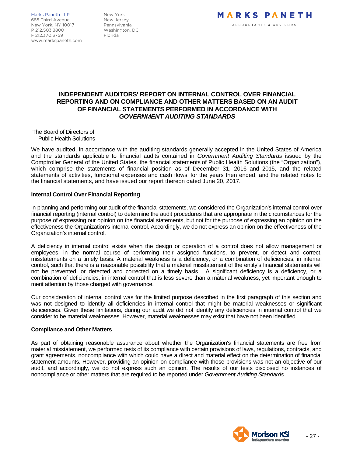Marks Paneth LLP New York 685 Third Avenue New Jersey<br>New York NY 10017 Pennsylvania New York, NY 10017 P 212.503.8800 Washington, DC F 212.370.3759 www.markspaneth.com



# **INDEPENDENT AUDITORS' REPORT ON INTERNAL CONTROL OVER FINANCIAL REPORTING AND ON COMPLIANCE AND OTHER MATTERS BASED ON AN AUDIT OF FINANCIAL STATEMENTS PERFORMED IN ACCORDANCE WITH**  *GOVERNMENT AUDITING STANDARDS*

The Board of Directors of Public Health Solutions

We have audited, in accordance with the auditing standards generally accepted in the United States of America and the standards applicable to financial audits contained in *Government Auditing Standards* issued by the Comptroller General of the United States, the financial statements of Public Health Solutions (the "Organization"), which comprise the statements of financial position as of December 31, 2016 and 2015, and the related statements of activities, functional expenses and cash flows for the years then ended, and the related notes to the financial statements, and have issued our report thereon dated June 20, 2017.

#### **Internal Control Over Financial Reporting**

In planning and performing our audit of the financial statements, we considered the Organization's internal control over financial reporting (internal control) to determine the audit procedures that are appropriate in the circumstances for the purpose of expressing our opinion on the financial statements, but not for the purpose of expressing an opinion on the effectiveness the Organization's internal control. Accordingly, we do not express an opinion on the effectiveness of the Organization's internal control.

A deficiency in internal control exists when the design or operation of a control does not allow management or employees, in the normal course of performing their assigned functions, to prevent, or detect and correct, misstatements on a timely basis. A material weakness is a deficiency, or a combination of deficiencies, in internal control, such that there is a reasonable possibility that a material misstatement of the entity's financial statements will not be prevented, or detected and corrected on a timely basis. A significant deficiency is a deficiency, or a combination of deficiencies, in internal control that is less severe than a material weakness, yet important enough to merit attention by those charged with governance.

Our consideration of internal control was for the limited purpose described in the first paragraph of this section and was not designed to identify all deficiencies in internal control that might be material weaknesses or significant deficiencies. Given these limitations, during our audit we did not identify any deficiencies in internal control that we consider to be material weaknesses. However, material weaknesses may exist that have not been identified.

#### **Compliance and Other Matters**

As part of obtaining reasonable assurance about whether the Organization's financial statements are free from material misstatement, we performed tests of its compliance with certain provisions of laws, regulations, contracts, and grant agreements, noncompliance with which could have a direct and material effect on the determination of financial statement amounts. However, providing an opinion on compliance with those provisions was not an objective of our audit, and accordingly, we do not express such an opinion. The results of our tests disclosed no instances of noncompliance or other matters that are required to be reported under *Government Auditing Standards.*

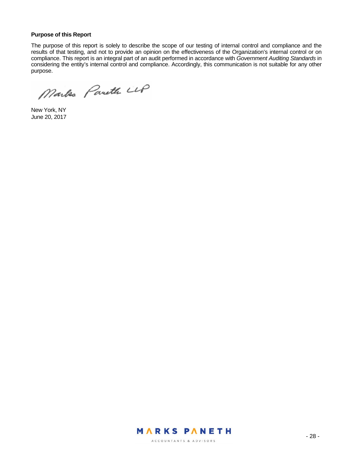#### **Purpose of this Report**

The purpose of this report is solely to describe the scope of our testing of internal control and compliance and the results of that testing, and not to provide an opinion on the effectiveness of the Organization's internal control or on compliance. This report is an integral part of an audit performed in accordance with *Government Auditing Standards* in considering the entity's internal control and compliance. Accordingly, this communication is not suitable for any other purpose.

Markes Pareth LLP

New York, NY June 20, 2017

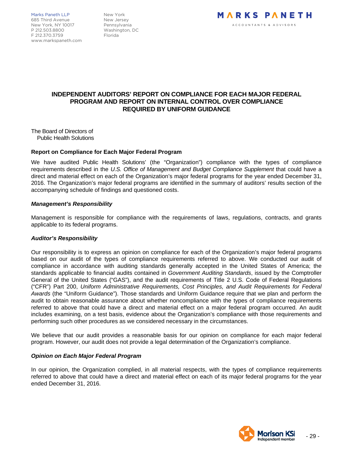Marks Paneth LLP New York 685 Third Avenue New Jersey New York, NY 10017 Pennsylvania P 212.503.8800 Washington, DC F 212.370.3759 Florida www.markspaneth.com



# **INDEPENDENT AUDITORS' REPORT ON COMPLIANCE FOR EACH MAJOR FEDERAL PROGRAM AND REPORT ON INTERNAL CONTROL OVER COMPLIANCE REQUIRED BY UNIFORM GUIDANCE**

The Board of Directors of Public Health Solutions

#### **Report on Compliance for Each Major Federal Program**

We have audited Public Health Solutions' (the "Organization") compliance with the types of compliance requirements described in the *U.S. Office of Management and Budget Compliance Supplement* that could have a direct and material effect on each of the Organization's major federal programs for the year ended December 31, 2016. The Organization's major federal programs are identified in the summary of auditors' results section of the accompanying schedule of findings and questioned costs.

#### *Management's Responsibility*

Management is responsible for compliance with the requirements of laws, regulations, contracts, and grants applicable to its federal programs.

#### *Auditor's Responsibility*

Our responsibility is to express an opinion on compliance for each of the Organization's major federal programs based on our audit of the types of compliance requirements referred to above. We conducted our audit of compliance in accordance with auditing standards generally accepted in the United States of America; the standards applicable to financial audits contained in *Government Auditing Standards*, issued by the Comptroller General of the United States ("GAS"), and the audit requirements of Title 2 U.S. Code of Federal Regulations ("CFR") Part 200, *Uniform Administrative Requirements, Cost Principles, and Audit Requirements for Federal Awards* (the "Uniform Guidance"). Those standards and Uniform Guidance require that we plan and perform the audit to obtain reasonable assurance about whether noncompliance with the types of compliance requirements referred to above that could have a direct and material effect on a major federal program occurred. An audit includes examining, on a test basis, evidence about the Organization's compliance with those requirements and performing such other procedures as we considered necessary in the circumstances.

We believe that our audit provides a reasonable basis for our opinion on compliance for each major federal program. However, our audit does not provide a legal determination of the Organization's compliance.

#### *Opinion on Each Major Federal Program*

In our opinion, the Organization complied, in all material respects, with the types of compliance requirements referred to above that could have a direct and material effect on each of its major federal programs for the year ended December 31, 2016.

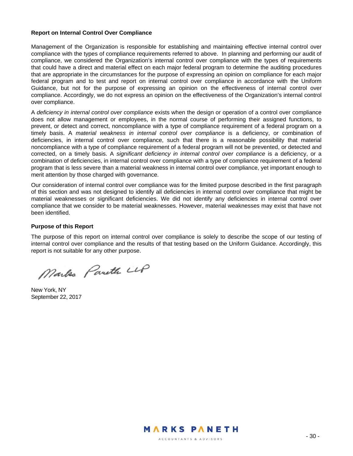#### **Report on Internal Control Over Compliance**

Management of the Organization is responsible for establishing and maintaining effective internal control over compliance with the types of compliance requirements referred to above. In planning and performing our audit of compliance, we considered the Organization's internal control over compliance with the types of requirements that could have a direct and material effect on each major federal program to determine the auditing procedures that are appropriate in the circumstances for the purpose of expressing an opinion on compliance for each major federal program and to test and report on internal control over compliance in accordance with the Uniform Guidance, but not for the purpose of expressing an opinion on the effectiveness of internal control over compliance. Accordingly, we do not express an opinion on the effectiveness of the Organization's internal control over compliance.

A *deficiency in internal control over compliance* exists when the design or operation of a control over compliance does not allow management or employees, in the normal course of performing their assigned functions, to prevent, or detect and correct, noncompliance with a type of compliance requirement of a federal program on a timely basis. A *material weakness in internal control over compliance* is a deficiency, or combination of deficiencies, in internal control over compliance, such that there is a reasonable possibility that material noncompliance with a type of compliance requirement of a federal program will not be prevented, or detected and corrected, on a timely basis. A *significant deficiency in internal control over compliance* is a deficiency, or a combination of deficiencies, in internal control over compliance with a type of compliance requirement of a federal program that is less severe than a material weakness in internal control over compliance, yet important enough to merit attention by those charged with governance.

Our consideration of internal control over compliance was for the limited purpose described in the first paragraph of this section and was not designed to identify all deficiencies in internal control over compliance that might be material weaknesses or significant deficiencies. We did not identify any deficiencies in internal control over compliance that we consider to be material weaknesses. However, material weaknesses may exist that have not been identified.

#### **Purpose of this Report**

The purpose of this report on internal control over compliance is solely to describe the scope of our testing of internal control over compliance and the results of that testing based on the Uniform Guidance. Accordingly, this report is not suitable for any other purpose.

Markes Pareth LLP

New York, NY September 22, 2017

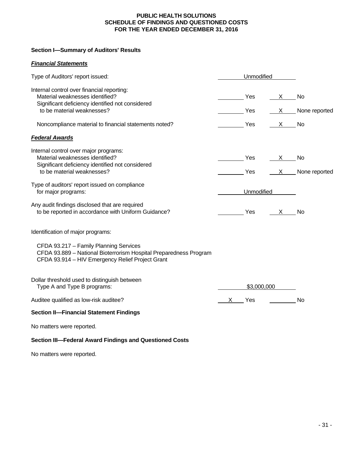#### **PUBLIC HEALTH SOLUTIONS SCHEDULE OF FINDINGS AND QUESTIONED COSTS FOR THE YEAR ENDED DECEMBER 31, 2016**

### **Section I—Summary of Auditors' Results**

# *Financial Statements*

| Type of Auditors' report issued:                                                                                                                                | Unmodified  |            |              |               |
|-----------------------------------------------------------------------------------------------------------------------------------------------------------------|-------------|------------|--------------|---------------|
| Internal control over financial reporting:<br>Material weaknesses identified?<br>Significant deficiency identified not considered                               |             | Yes        | X —          | <b>No</b>     |
| to be material weaknesses?                                                                                                                                      |             | Yes        | $X \sim$     | None reported |
| Noncompliance material to financial statements noted?                                                                                                           |             | Yes        | $\mathsf{X}$ | No            |
| <b>Federal Awards</b>                                                                                                                                           |             |            |              |               |
| Internal control over major programs:<br>Material weaknesses identified?<br>Significant deficiency identified not considered                                    |             | Yes        | X.           | No            |
| to be material weaknesses?                                                                                                                                      |             | Yes        | $X -$        | None reported |
| Type of auditors' report issued on compliance<br>for major programs:                                                                                            |             | Unmodified |              |               |
| Any audit findings disclosed that are required<br>to be reported in accordance with Uniform Guidance?                                                           |             | Yes        | $\mathsf{X}$ | <b>No</b>     |
| Identification of major programs:                                                                                                                               |             |            |              |               |
| CFDA 93.217 - Family Planning Services<br>CFDA 93.889 - National Bioterrorism Hospital Preparedness Program<br>CFDA 93.914 - HIV Emergency Relief Project Grant |             |            |              |               |
| Dollar threshold used to distinguish between<br>Type A and Type B programs:                                                                                     | \$3,000,000 |            |              |               |
| Auditee qualified as low-risk auditee?                                                                                                                          |             | X Yes      |              | <b>No</b>     |
| <b>Section II-Financial Statement Findings</b>                                                                                                                  |             |            |              |               |

No matters were reported.

# **Section III—Federal Award Findings and Questioned Costs**

No matters were reported.